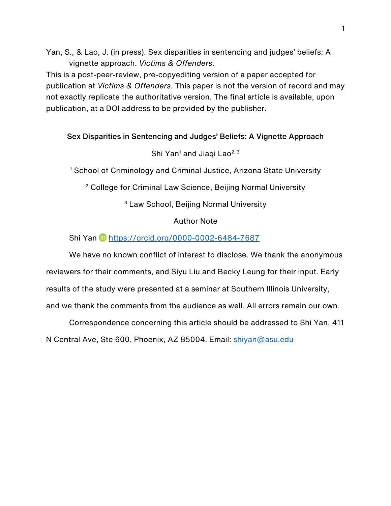Yan, S., & Lao, J. (in press). Sex disparities in sentencing and judges' beliefs: A vignette approach. *Victims & Offenders*.

This is a post-peer-review, pre-copyediting version of a paper accepted for publication at *Victims & Offenders*. This paper is not the version of record and may not exactly replicate the authoritative version. The final article is available, upon publication, at a DOI address to be provided by the publisher.

## Sex Disparities in Sentencing and Judges' Beliefs: A Vignette Approach

## Shi Yan<sup>1</sup> and Jiaqi Lao<sup>2, 3</sup>

<sup>1</sup> School of Criminology and Criminal Justice, Arizona State University

<sup>2</sup> College for Criminal Law Science, Beijing Normal University

<sup>3</sup> Law School, Beijing Normal University

## Author Note

## Shi Yan https://orcid.org/0000-0002-6484-7687

We have no known conflict of interest to disclose. We thank the anonymous reviewers for their comments, and Siyu Liu and Becky Leung for their input. Early results of the study were presented at a seminar at Southern Illinois University, and we thank the comments from the audience as well. All errors remain our own.

Correspondence concerning this article should be addressed to Shi Yan, 411 N Central Ave, Ste 600, Phoenix, AZ 85004. Email: shiyan@asu.edu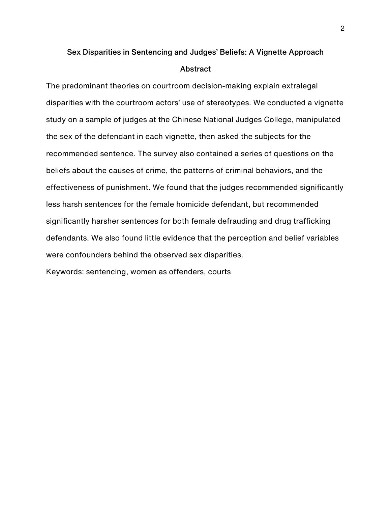# Sex Disparities in Sentencing and Judges' Beliefs: A Vignette Approach Abstract

The predominant theories on courtroom decision-making explain extralegal disparities with the courtroom actors' use of stereotypes. We conducted a vignette study on a sample of judges at the Chinese National Judges College, manipulated the sex of the defendant in each vignette, then asked the subjects for the recommended sentence. The survey also contained a series of questions on the beliefs about the causes of crime, the patterns of criminal behaviors, and the effectiveness of punishment. We found that the judges recommended significantly less harsh sentences for the female homicide defendant, but recommended significantly harsher sentences for both female defrauding and drug trafficking defendants. We also found little evidence that the perception and belief variables were confounders behind the observed sex disparities.

Keywords: sentencing, women as offenders, courts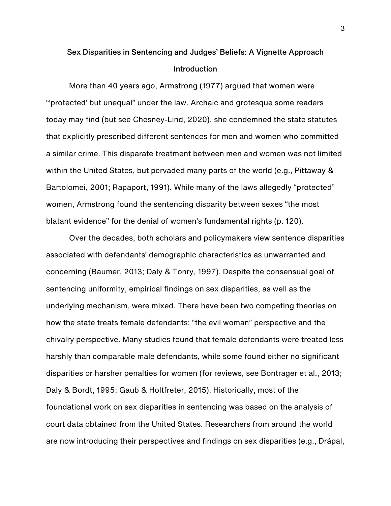# Sex Disparities in Sentencing and Judges' Beliefs: A Vignette Approach Introduction

More than 40 years ago, Armstrong (1977) argued that women were "'protected' but unequal" under the law. Archaic and grotesque some readers today may find (but see Chesney-Lind, 2020), she condemned the state statutes that explicitly prescribed different sentences for men and women who committed a similar crime. This disparate treatment between men and women was not limited within the United States, but pervaded many parts of the world (e.g., Pittaway & Bartolomei, 2001; Rapaport, 1991). While many of the laws allegedly "protected" women, Armstrong found the sentencing disparity between sexes "the most blatant evidence" for the denial of women's fundamental rights (p. 120).

Over the decades, both scholars and policymakers view sentence disparities associated with defendants' demographic characteristics as unwarranted and concerning (Baumer, 2013; Daly & Tonry, 1997). Despite the consensual goal of sentencing uniformity, empirical findings on sex disparities, as well as the underlying mechanism, were mixed. There have been two competing theories on how the state treats female defendants: "the evil woman" perspective and the chivalry perspective. Many studies found that female defendants were treated less harshly than comparable male defendants, while some found either no significant disparities or harsher penalties for women (for reviews, see Bontrager et al., 2013; Daly & Bordt, 1995; Gaub & Holtfreter, 2015). Historically, most of the foundational work on sex disparities in sentencing was based on the analysis of court data obtained from the United States. Researchers from around the world are now introducing their perspectives and findings on sex disparities (e.g., Drápal,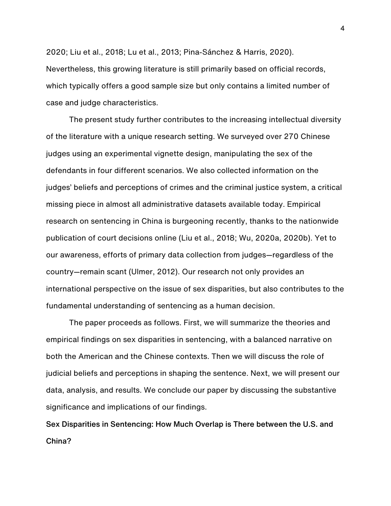2020; Liu et al., 2018; Lu et al., 2013; Pina-Sánchez & Harris, 2020). Nevertheless, this growing literature is still primarily based on official records, which typically offers a good sample size but only contains a limited number of case and judge characteristics.

The present study further contributes to the increasing intellectual diversity of the literature with a unique research setting. We surveyed over 270 Chinese judges using an experimental vignette design, manipulating the sex of the defendants in four different scenarios. We also collected information on the judges' beliefs and perceptions of crimes and the criminal justice system, a critical missing piece in almost all administrative datasets available today. Empirical research on sentencing in China is burgeoning recently, thanks to the nationwide publication of court decisions online (Liu et al., 2018; Wu, 2020a, 2020b). Yet to our awareness, efforts of primary data collection from judges—regardless of the country—remain scant (Ulmer, 2012). Our research not only provides an international perspective on the issue of sex disparities, but also contributes to the fundamental understanding of sentencing as a human decision.

The paper proceeds as follows. First, we will summarize the theories and empirical findings on sex disparities in sentencing, with a balanced narrative on both the American and the Chinese contexts. Then we will discuss the role of judicial beliefs and perceptions in shaping the sentence. Next, we will present our data, analysis, and results. We conclude our paper by discussing the substantive significance and implications of our findings.

Sex Disparities in Sentencing: How Much Overlap is There between the U.S. and China?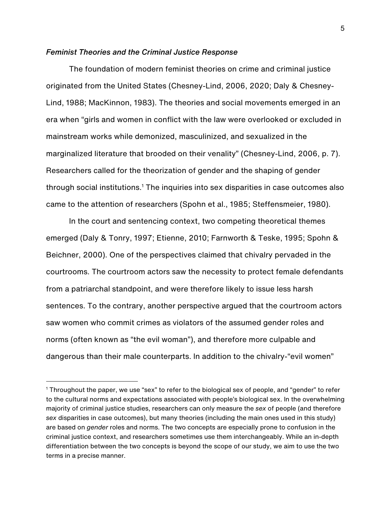#### *Feminist Theories and the Criminal Justice Response*

The foundation of modern feminist theories on crime and criminal justice originated from the United States (Chesney-Lind, 2006, 2020; Daly & Chesney-Lind, 1988; MacKinnon, 1983). The theories and social movements emerged in an era when "girls and women in conflict with the law were overlooked or excluded in mainstream works while demonized, masculinized, and sexualized in the marginalized literature that brooded on their venality" (Chesney-Lind, 2006, p. 7). Researchers called for the theorization of gender and the shaping of gender through social institutions.<sup>1</sup> The inquiries into sex disparities in case outcomes also came to the attention of researchers (Spohn et al., 1985; Steffensmeier, 1980).

In the court and sentencing context, two competing theoretical themes emerged (Daly & Tonry, 1997; Etienne, 2010; Farnworth & Teske, 1995; Spohn & Beichner, 2000). One of the perspectives claimed that chivalry pervaded in the courtrooms. The courtroom actors saw the necessity to protect female defendants from a patriarchal standpoint, and were therefore likely to issue less harsh sentences. To the contrary, another perspective argued that the courtroom actors saw women who commit crimes as violators of the assumed gender roles and norms (often known as "the evil woman"), and therefore more culpable and dangerous than their male counterparts. In addition to the chivalry-"evil women"

<sup>1</sup> Throughout the paper, we use "sex" to refer to the biological sex of people, and "gender" to refer to the cultural norms and expectations associated with people's biological sex. In the overwhelming majority of criminal justice studies, researchers can only measure the *sex* of people (and therefore *sex* disparities in case outcomes), but many theories (including the main ones used in this study) are based on *gender* roles and norms. The two concepts are especially prone to confusion in the criminal justice context, and researchers sometimes use them interchangeably. While an in-depth differentiation between the two concepts is beyond the scope of our study, we aim to use the two terms in a precise manner.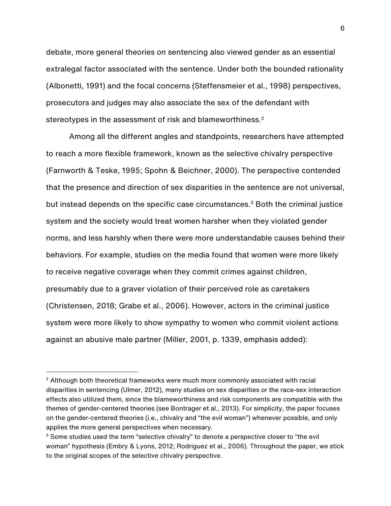debate, more general theories on sentencing also viewed gender as an essential extralegal factor associated with the sentence. Under both the bounded rationality (Albonetti, 1991) and the focal concerns (Steffensmeier et al., 1998) perspectives, prosecutors and judges may also associate the sex of the defendant with stereotypes in the assessment of risk and blameworthiness.<sup>2</sup>

Among all the different angles and standpoints, researchers have attempted to reach a more flexible framework, known as the selective chivalry perspective (Farnworth & Teske, 1995; Spohn & Beichner, 2000). The perspective contended that the presence and direction of sex disparities in the sentence are not universal, but instead depends on the specific case circumstances.3 Both the criminal justice system and the society would treat women harsher when they violated gender norms, and less harshly when there were more understandable causes behind their behaviors. For example, studies on the media found that women were more likely to receive negative coverage when they commit crimes against children, presumably due to a graver violation of their perceived role as caretakers (Christensen, 2018; Grabe et al., 2006). However, actors in the criminal justice system were more likely to show sympathy to women who commit violent actions against an abusive male partner (Miller, 2001, p. 1339, emphasis added):

<sup>2</sup> Although both theoretical frameworks were much more commonly associated with racial disparities in sentencing (Ulmer, 2012), many studies on sex disparities or the race-sex interaction effects also utilized them, since the blameworthiness and risk components are compatible with the themes of gender-centered theories (see Bontrager et al., 2013). For simplicity, the paper focuses on the gender-centered theories (i.e., chivalry and "the evil woman") whenever possible, and only applies the more general perspectives when necessary.

<sup>&</sup>lt;sup>3</sup> Some studies used the term "selective chivalry" to denote a perspective closer to "the evil woman" hypothesis (Embry & Lyons, 2012; Rodriguez et al., 2006). Throughout the paper, we stick to the original scopes of the selective chivalry perspective.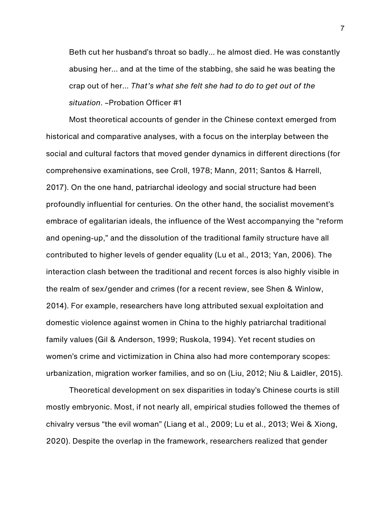Beth cut her husband's throat so badly… he almost died. He was constantly abusing her… and at the time of the stabbing, she said he was beating the crap out of her… *That's what she felt she had to do to get out of the situation*. –Probation Officer #1

Most theoretical accounts of gender in the Chinese context emerged from historical and comparative analyses, with a focus on the interplay between the social and cultural factors that moved gender dynamics in different directions (for comprehensive examinations, see Croll, 1978; Mann, 2011; Santos & Harrell, 2017). On the one hand, patriarchal ideology and social structure had been profoundly influential for centuries. On the other hand, the socialist movement's embrace of egalitarian ideals, the influence of the West accompanying the "reform and opening-up," and the dissolution of the traditional family structure have all contributed to higher levels of gender equality (Lu et al., 2013; Yan, 2006). The interaction clash between the traditional and recent forces is also highly visible in the realm of sex/gender and crimes (for a recent review, see Shen & Winlow, 2014). For example, researchers have long attributed sexual exploitation and domestic violence against women in China to the highly patriarchal traditional family values (Gil & Anderson, 1999; Ruskola, 1994). Yet recent studies on women's crime and victimization in China also had more contemporary scopes: urbanization, migration worker families, and so on (Liu, 2012; Niu & Laidler, 2015).

Theoretical development on sex disparities in today's Chinese courts is still mostly embryonic. Most, if not nearly all, empirical studies followed the themes of chivalry versus "the evil woman" (Liang et al., 2009; Lu et al., 2013; Wei & Xiong, 2020). Despite the overlap in the framework, researchers realized that gender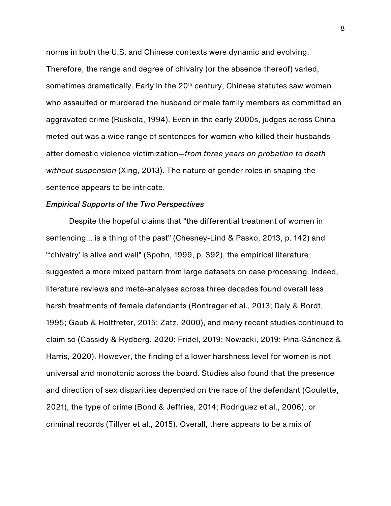norms in both the U.S. and Chinese contexts were dynamic and evolving. Therefore, the range and degree of chivalry (or the absence thereof) varied, sometimes dramatically. Early in the 20<sup>th</sup> century, Chinese statutes saw women who assaulted or murdered the husband or male family members as committed an aggravated crime (Ruskola, 1994). Even in the early 2000s, judges across China meted out was a wide range of sentences for women who killed their husbands after domestic violence victimization—*from three years on probation to death without suspension* (Xing, 2013). The nature of gender roles in shaping the sentence appears to be intricate.

#### *Empirical Supports of the Two Perspectives*

Despite the hopeful claims that "the differential treatment of women in sentencing… is a thing of the past" (Chesney-Lind & Pasko, 2013, p. 142) and "'chivalry' is alive and well" (Spohn, 1999, p. 392), the empirical literature suggested a more mixed pattern from large datasets on case processing. Indeed, literature reviews and meta-analyses across three decades found overall less harsh treatments of female defendants (Bontrager et al., 2013; Daly & Bordt, 1995; Gaub & Holtfreter, 2015; Zatz, 2000), and many recent studies continued to claim so (Cassidy & Rydberg, 2020; Fridel, 2019; Nowacki, 2019; Pina-Sánchez & Harris, 2020). However, the finding of a lower harshness level for women is not universal and monotonic across the board. Studies also found that the presence and direction of sex disparities depended on the race of the defendant (Goulette, 2021), the type of crime (Bond & Jeffries, 2014; Rodriguez et al., 2006), or criminal records (Tillyer et al., 2015). Overall, there appears to be a mix of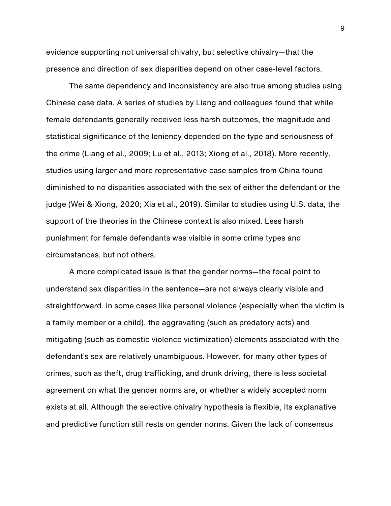evidence supporting not universal chivalry, but selective chivalry—that the presence and direction of sex disparities depend on other case-level factors.

The same dependency and inconsistency are also true among studies using Chinese case data. A series of studies by Liang and colleagues found that while female defendants generally received less harsh outcomes, the magnitude and statistical significance of the leniency depended on the type and seriousness of the crime (Liang et al., 2009; Lu et al., 2013; Xiong et al., 2018). More recently, studies using larger and more representative case samples from China found diminished to no disparities associated with the sex of either the defendant or the judge (Wei & Xiong, 2020; Xia et al., 2019). Similar to studies using U.S. data, the support of the theories in the Chinese context is also mixed. Less harsh punishment for female defendants was visible in some crime types and circumstances, but not others.

A more complicated issue is that the gender norms—the focal point to understand sex disparities in the sentence—are not always clearly visible and straightforward. In some cases like personal violence (especially when the victim is a family member or a child), the aggravating (such as predatory acts) and mitigating (such as domestic violence victimization) elements associated with the defendant's sex are relatively unambiguous. However, for many other types of crimes, such as theft, drug trafficking, and drunk driving, there is less societal agreement on what the gender norms are, or whether a widely accepted norm exists at all. Although the selective chivalry hypothesis is flexible, its explanative and predictive function still rests on gender norms. Given the lack of consensus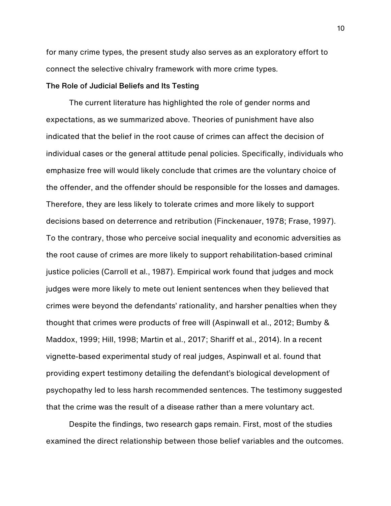for many crime types, the present study also serves as an exploratory effort to connect the selective chivalry framework with more crime types.

## The Role of Judicial Beliefs and Its Testing

The current literature has highlighted the role of gender norms and expectations, as we summarized above. Theories of punishment have also indicated that the belief in the root cause of crimes can affect the decision of individual cases or the general attitude penal policies. Specifically, individuals who emphasize free will would likely conclude that crimes are the voluntary choice of the offender, and the offender should be responsible for the losses and damages. Therefore, they are less likely to tolerate crimes and more likely to support decisions based on deterrence and retribution (Finckenauer, 1978; Frase, 1997). To the contrary, those who perceive social inequality and economic adversities as the root cause of crimes are more likely to support rehabilitation-based criminal justice policies (Carroll et al., 1987). Empirical work found that judges and mock judges were more likely to mete out lenient sentences when they believed that crimes were beyond the defendants' rationality, and harsher penalties when they thought that crimes were products of free will (Aspinwall et al., 2012; Bumby & Maddox, 1999; Hill, 1998; Martin et al., 2017; Shariff et al., 2014). In a recent vignette-based experimental study of real judges, Aspinwall et al. found that providing expert testimony detailing the defendant's biological development of psychopathy led to less harsh recommended sentences. The testimony suggested that the crime was the result of a disease rather than a mere voluntary act.

Despite the findings, two research gaps remain. First, most of the studies examined the direct relationship between those belief variables and the outcomes.

10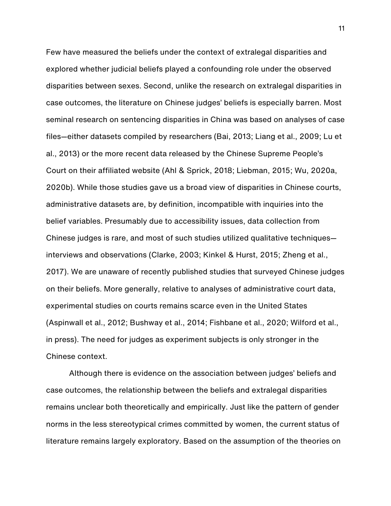Few have measured the beliefs under the context of extralegal disparities and explored whether judicial beliefs played a confounding role under the observed disparities between sexes. Second, unlike the research on extralegal disparities in case outcomes, the literature on Chinese judges' beliefs is especially barren. Most seminal research on sentencing disparities in China was based on analyses of case files—either datasets compiled by researchers (Bai, 2013; Liang et al., 2009; Lu et al., 2013) or the more recent data released by the Chinese Supreme People's Court on their affiliated website (Ahl & Sprick, 2018; Liebman, 2015; Wu, 2020a, 2020b). While those studies gave us a broad view of disparities in Chinese courts, administrative datasets are, by definition, incompatible with inquiries into the belief variables. Presumably due to accessibility issues, data collection from Chinese judges is rare, and most of such studies utilized qualitative techniques interviews and observations (Clarke, 2003; Kinkel & Hurst, 2015; Zheng et al., 2017). We are unaware of recently published studies that surveyed Chinese judges on their beliefs. More generally, relative to analyses of administrative court data, experimental studies on courts remains scarce even in the United States (Aspinwall et al., 2012; Bushway et al., 2014; Fishbane et al., 2020; Wilford et al., in press). The need for judges as experiment subjects is only stronger in the Chinese context.

Although there is evidence on the association between judges' beliefs and case outcomes, the relationship between the beliefs and extralegal disparities remains unclear both theoretically and empirically. Just like the pattern of gender norms in the less stereotypical crimes committed by women, the current status of literature remains largely exploratory. Based on the assumption of the theories on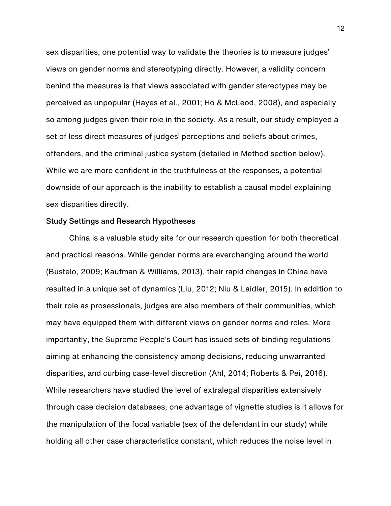sex disparities, one potential way to validate the theories is to measure judges' views on gender norms and stereotyping directly. However, a validity concern behind the measures is that views associated with gender stereotypes may be perceived as unpopular (Hayes et al., 2001; Ho & McLeod, 2008), and especially so among judges given their role in the society. As a result, our study employed a set of less direct measures of judges' perceptions and beliefs about crimes, offenders, and the criminal justice system (detailed in Method section below). While we are more confident in the truthfulness of the responses, a potential downside of our approach is the inability to establish a causal model explaining sex disparities directly.

#### Study Settings and Research Hypotheses

China is a valuable study site for our research question for both theoretical and practical reasons. While gender norms are everchanging around the world (Bustelo, 2009; Kaufman & Williams, 2013), their rapid changes in China have resulted in a unique set of dynamics (Liu, 2012; Niu & Laidler, 2015). In addition to their role as prosessionals, judges are also members of their communities, which may have equipped them with different views on gender norms and roles. More importantly, the Supreme People's Court has issued sets of binding regulations aiming at enhancing the consistency among decisions, reducing unwarranted disparities, and curbing case-level discretion (Ahl, 2014; Roberts & Pei, 2016). While researchers have studied the level of extralegal disparities extensively through case decision databases, one advantage of vignette studies is it allows for the manipulation of the focal variable (sex of the defendant in our study) while holding all other case characteristics constant, which reduces the noise level in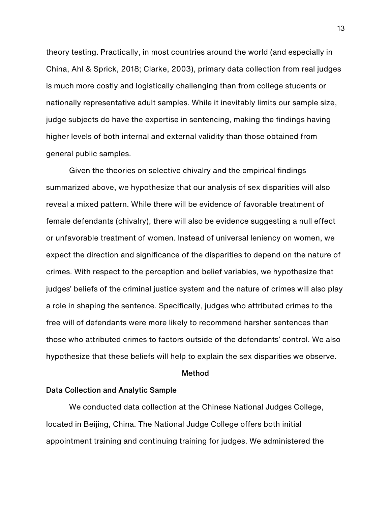theory testing. Practically, in most countries around the world (and especially in China, Ahl & Sprick, 2018; Clarke, 2003), primary data collection from real judges is much more costly and logistically challenging than from college students or nationally representative adult samples. While it inevitably limits our sample size, judge subjects do have the expertise in sentencing, making the findings having higher levels of both internal and external validity than those obtained from general public samples.

Given the theories on selective chivalry and the empirical findings summarized above, we hypothesize that our analysis of sex disparities will also reveal a mixed pattern. While there will be evidence of favorable treatment of female defendants (chivalry), there will also be evidence suggesting a null effect or unfavorable treatment of women. Instead of universal leniency on women, we expect the direction and significance of the disparities to depend on the nature of crimes. With respect to the perception and belief variables, we hypothesize that judges' beliefs of the criminal justice system and the nature of crimes will also play a role in shaping the sentence. Specifically, judges who attributed crimes to the free will of defendants were more likely to recommend harsher sentences than those who attributed crimes to factors outside of the defendants' control. We also hypothesize that these beliefs will help to explain the sex disparities we observe.

#### Method

#### Data Collection and Analytic Sample

We conducted data collection at the Chinese National Judges College, located in Beijing, China. The National Judge College offers both initial appointment training and continuing training for judges. We administered the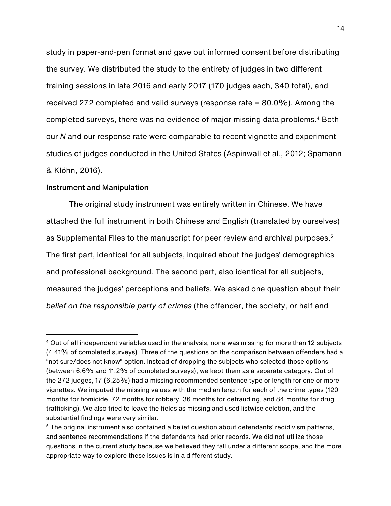study in paper-and-pen format and gave out informed consent before distributing the survey. We distributed the study to the entirety of judges in two different training sessions in late 2016 and early 2017 (170 judges each, 340 total), and received 272 completed and valid surveys (response rate = 80.0%). Among the completed surveys, there was no evidence of major missing data problems.4 Both our *N* and our response rate were comparable to recent vignette and experiment studies of judges conducted in the United States (Aspinwall et al., 2012; Spamann & Klöhn, 2016).

#### Instrument and Manipulation

The original study instrument was entirely written in Chinese. We have attached the full instrument in both Chinese and English (translated by ourselves) as Supplemental Files to the manuscript for peer review and archival purposes. 5 The first part, identical for all subjects, inquired about the judges' demographics and professional background. The second part, also identical for all subjects, measured the judges' perceptions and beliefs. We asked one question about their *belief on the responsible party of crimes* (the offender, the society, or half and

<sup>4</sup> Out of all independent variables used in the analysis, none was missing for more than 12 subjects (4.41% of completed surveys). Three of the questions on the comparison between offenders had a "not sure/does not know" option. Instead of dropping the subjects who selected those options (between 6.6% and 11.2% of completed surveys), we kept them as a separate category. Out of the 272 judges, 17 (6.25%) had a missing recommended sentence type or length for one or more vignettes. We imputed the missing values with the median length for each of the crime types (120 months for homicide, 72 months for robbery, 36 months for defrauding, and 84 months for drug trafficking). We also tried to leave the fields as missing and used listwise deletion, and the substantial findings were very similar.

<sup>&</sup>lt;sup>5</sup> The original instrument also contained a belief question about defendants' recidivism patterns, and sentence recommendations if the defendants had prior records. We did not utilize those questions in the current study because we believed they fall under a different scope, and the more appropriate way to explore these issues is in a different study.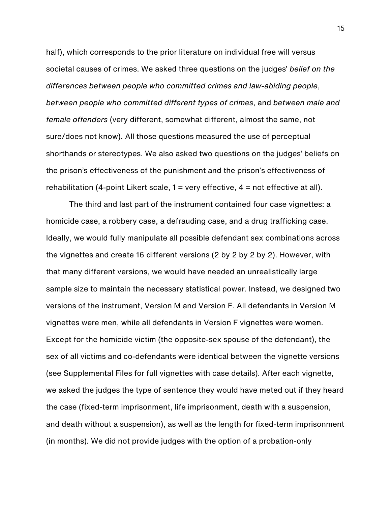half), which corresponds to the prior literature on individual free will versus societal causes of crimes. We asked three questions on the judges' *belief on the differences between people who committed crimes and law-abiding people*, *between people who committed different types of crimes*, and *between male and female offenders* (very different, somewhat different, almost the same, not sure/does not know). All those questions measured the use of perceptual shorthands or stereotypes. We also asked two questions on the judges' beliefs on the prison's effectiveness of the punishment and the prison's effectiveness of rehabilitation (4-point Likert scale,  $1 =$  very effective,  $4 =$  not effective at all).

The third and last part of the instrument contained four case vignettes: a homicide case, a robbery case, a defrauding case, and a drug trafficking case. Ideally, we would fully manipulate all possible defendant sex combinations across the vignettes and create 16 different versions (2 by 2 by 2 by 2). However, with that many different versions, we would have needed an unrealistically large sample size to maintain the necessary statistical power. Instead, we designed two versions of the instrument, Version M and Version F. All defendants in Version M vignettes were men, while all defendants in Version F vignettes were women. Except for the homicide victim (the opposite-sex spouse of the defendant), the sex of all victims and co-defendants were identical between the vignette versions (see Supplemental Files for full vignettes with case details). After each vignette, we asked the judges the type of sentence they would have meted out if they heard the case (fixed-term imprisonment, life imprisonment, death with a suspension, and death without a suspension), as well as the length for fixed-term imprisonment (in months). We did not provide judges with the option of a probation-only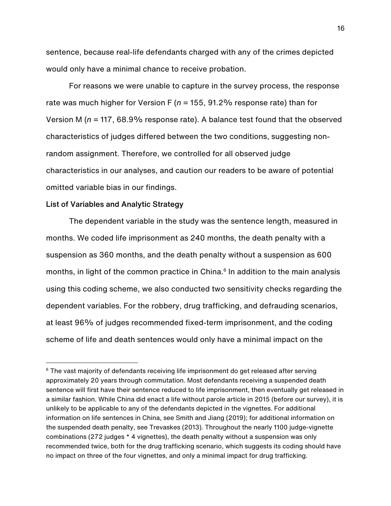sentence, because real-life defendants charged with any of the crimes depicted would only have a minimal chance to receive probation.

For reasons we were unable to capture in the survey process, the response rate was much higher for Version F (*n* = 155, 91.2% response rate) than for Version M (*n* = 117, 68.9% response rate). A balance test found that the observed characteristics of judges differed between the two conditions, suggesting nonrandom assignment. Therefore, we controlled for all observed judge characteristics in our analyses, and caution our readers to be aware of potential omitted variable bias in our findings.

#### List of Variables and Analytic Strategy

The dependent variable in the study was the sentence length, measured in months. We coded life imprisonment as 240 months, the death penalty with a suspension as 360 months, and the death penalty without a suspension as 600 months, in light of the common practice in China. <sup>6</sup> In addition to the main analysis using this coding scheme, we also conducted two sensitivity checks regarding the dependent variables. For the robbery, drug trafficking, and defrauding scenarios, at least 96% of judges recommended fixed-term imprisonment, and the coding scheme of life and death sentences would only have a minimal impact on the

 $6$  The vast majority of defendants receiving life imprisonment do get released after serving approximately 20 years through commutation. Most defendants receiving a suspended death sentence will first have their sentence reduced to life imprisonment, then eventually get released in a similar fashion. While China did enact a life without parole article in 2015 (before our survey), it is unlikely to be applicable to any of the defendants depicted in the vignettes. For additional information on life sentences in China, see Smith and Jiang (2019); for additional information on the suspended death penalty, see Trevaskes (2013). Throughout the nearly 1100 judge-vignette combinations (272 judges \* 4 vignettes), the death penalty without a suspension was only recommended twice, both for the drug trafficking scenario, which suggests its coding should have no impact on three of the four vignettes, and only a minimal impact for drug trafficking.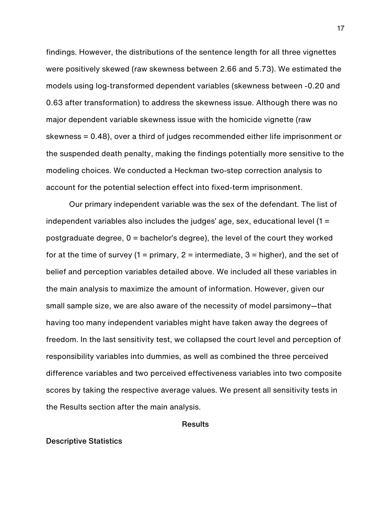findings. However, the distributions of the sentence length for all three vignettes were positively skewed (raw skewness between 2.66 and 5.73). We estimated the models using log-transformed dependent variables (skewness between -0.20 and 0.63 after transformation) to address the skewness issue. Although there was no major dependent variable skewness issue with the homicide vignette (raw skewness = 0.48), over a third of judges recommended either life imprisonment or the suspended death penalty, making the findings potentially more sensitive to the modeling choices. We conducted a Heckman two-step correction analysis to account for the potential selection effect into fixed-term imprisonment.

Our primary independent variable was the sex of the defendant. The list of independent variables also includes the judges' age, sex, educational level (1 = postgraduate degree, 0 = bachelor's degree), the level of the court they worked for at the time of survey (1 = primary, 2 = intermediate, 3 = higher), and the set of belief and perception variables detailed above. We included all these variables in the main analysis to maximize the amount of information. However, given our small sample size, we are also aware of the necessity of model parsimony—that having too many independent variables might have taken away the degrees of freedom. In the last sensitivity test, we collapsed the court level and perception of responsibility variables into dummies, as well as combined the three perceived difference variables and two perceived effectiveness variables into two composite scores by taking the respective average values. We present all sensitivity tests in the Results section after the main analysis.

Results

#### Descriptive Statistics

17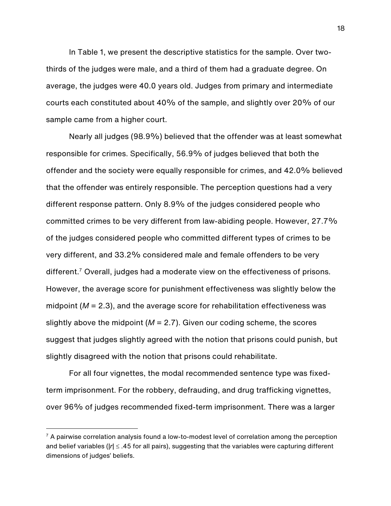In Table 1, we present the descriptive statistics for the sample. Over twothirds of the judges were male, and a third of them had a graduate degree. On average, the judges were 40.0 years old. Judges from primary and intermediate courts each constituted about 40% of the sample, and slightly over 20% of our sample came from a higher court.

Nearly all judges (98.9%) believed that the offender was at least somewhat responsible for crimes. Specifically, 56.9% of judges believed that both the offender and the society were equally responsible for crimes, and 42.0% believed that the offender was entirely responsible. The perception questions had a very different response pattern. Only 8.9% of the judges considered people who committed crimes to be very different from law-abiding people. However, 27.7% of the judges considered people who committed different types of crimes to be very different, and 33.2% considered male and female offenders to be very different.<sup>7</sup> Overall, judges had a moderate view on the effectiveness of prisons. However, the average score for punishment effectiveness was slightly below the midpoint (*M* = 2.3), and the average score for rehabilitation effectiveness was slightly above the midpoint (*M* = 2.7). Given our coding scheme, the scores suggest that judges slightly agreed with the notion that prisons could punish, but slightly disagreed with the notion that prisons could rehabilitate.

For all four vignettes, the modal recommended sentence type was fixedterm imprisonment. For the robbery, defrauding, and drug trafficking vignettes, over 96% of judges recommended fixed-term imprisonment. There was a larger

 $7$  A pairwise correlation analysis found a low-to-modest level of correlation among the perception and belief variables ( $|r| \leq .45$  for all pairs), suggesting that the variables were capturing different dimensions of judges' beliefs.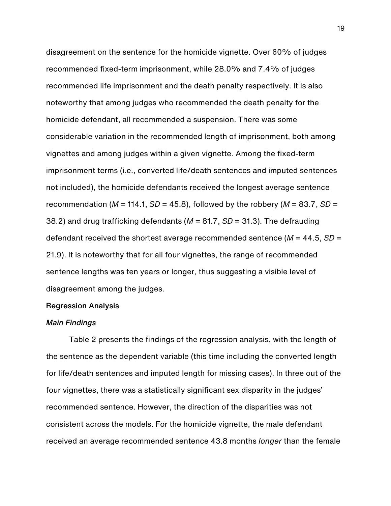disagreement on the sentence for the homicide vignette. Over 60% of judges recommended fixed-term imprisonment, while 28.0% and 7.4% of judges recommended life imprisonment and the death penalty respectively. It is also noteworthy that among judges who recommended the death penalty for the homicide defendant, all recommended a suspension. There was some considerable variation in the recommended length of imprisonment, both among vignettes and among judges within a given vignette. Among the fixed-term imprisonment terms (i.e., converted life/death sentences and imputed sentences not included), the homicide defendants received the longest average sentence recommendation ( $M = 114.1$ ,  $SD = 45.8$ ), followed by the robbery ( $M = 83.7$ ,  $SD =$ 38.2) and drug trafficking defendants (*M* = 81.7, *SD* = 31.3). The defrauding defendant received the shortest average recommended sentence (*M* = 44.5, *SD* = 21.9). It is noteworthy that for all four vignettes, the range of recommended sentence lengths was ten years or longer, thus suggesting a visible level of disagreement among the judges.

#### Regression Analysis

#### *Main Findings*

Table 2 presents the findings of the regression analysis, with the length of the sentence as the dependent variable (this time including the converted length for life/death sentences and imputed length for missing cases). In three out of the four vignettes, there was a statistically significant sex disparity in the judges' recommended sentence. However, the direction of the disparities was not consistent across the models. For the homicide vignette, the male defendant received an average recommended sentence 43.8 months *longer* than the female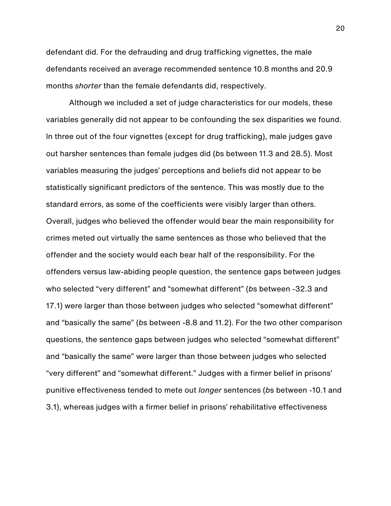defendant did. For the defrauding and drug trafficking vignettes, the male defendants received an average recommended sentence 10.8 months and 20.9 months *shorter* than the female defendants did, respectively.

Although we included a set of judge characteristics for our models, these variables generally did not appear to be confounding the sex disparities we found. In three out of the four vignettes (except for drug trafficking), male judges gave out harsher sentences than female judges did (*b*s between 11.3 and 28.5). Most variables measuring the judges' perceptions and beliefs did not appear to be statistically significant predictors of the sentence. This was mostly due to the standard errors, as some of the coefficients were visibly larger than others. Overall, judges who believed the offender would bear the main responsibility for crimes meted out virtually the same sentences as those who believed that the offender and the society would each bear half of the responsibility. For the offenders versus law-abiding people question, the sentence gaps between judges who selected "very different" and "somewhat different" (*b*s between -32.3 and 17.1) were larger than those between judges who selected "somewhat different" and "basically the same" (*b*s between -8.8 and 11.2). For the two other comparison questions, the sentence gaps between judges who selected "somewhat different" and "basically the same" were larger than those between judges who selected "very different" and "somewhat different." Judges with a firmer belief in prisons' punitive effectiveness tended to mete out *longer* sentences (*b*s between -10.1 and 3.1), whereas judges with a firmer belief in prisons' rehabilitative effectiveness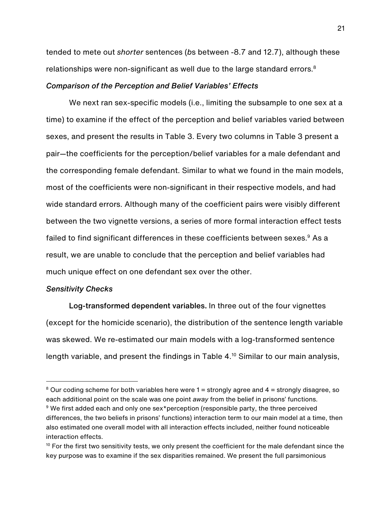tended to mete out *shorter* sentences (*b*s between -8.7 and 12.7), although these relationships were non-significant as well due to the large standard errors.<sup>8</sup>

#### *Comparison of the Perception and Belief Variables' Effects*

We next ran sex-specific models (i.e., limiting the subsample to one sex at a time) to examine if the effect of the perception and belief variables varied between sexes, and present the results in Table 3. Every two columns in Table 3 present a pair—the coefficients for the perception/belief variables for a male defendant and the corresponding female defendant. Similar to what we found in the main models, most of the coefficients were non-significant in their respective models, and had wide standard errors. Although many of the coefficient pairs were visibly different between the two vignette versions, a series of more formal interaction effect tests failed to find significant differences in these coefficients between sexes.<sup>9</sup> As a result, we are unable to conclude that the perception and belief variables had much unique effect on one defendant sex over the other.

#### *Sensitivity Checks*

Log-transformed dependent variables. In three out of the four vignettes (except for the homicide scenario), the distribution of the sentence length variable was skewed. We re-estimated our main models with a log-transformed sentence length variable, and present the findings in Table 4. <sup>10</sup> Similar to our main analysis,

<sup>&</sup>lt;sup>8</sup> Our coding scheme for both variables here were  $1 =$  strongly agree and  $4 =$  strongly disagree, so each additional point on the scale was one point *away* from the belief in prisons' functions. <sup>9</sup> We first added each and only one sex\*perception (responsible party, the three perceived differences, the two beliefs in prisons' functions) interaction term to our main model at a time, then also estimated one overall model with all interaction effects included, neither found noticeable interaction effects.

 $10$  For the first two sensitivity tests, we only present the coefficient for the male defendant since the key purpose was to examine if the sex disparities remained. We present the full parsimonious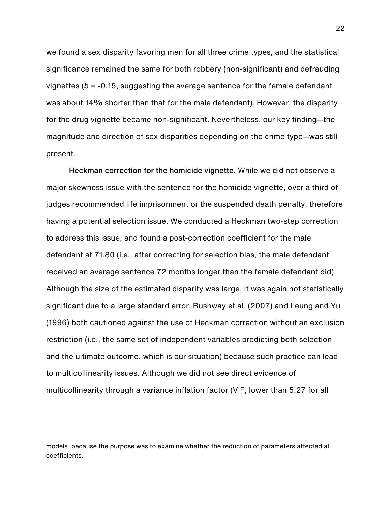we found a sex disparity favoring men for all three crime types, and the statistical significance remained the same for both robbery (non-significant) and defrauding vignettes (*b* = -0.15, suggesting the average sentence for the female defendant was about 14% shorter than that for the male defendant). However, the disparity for the drug vignette became non-significant. Nevertheless, our key finding—the magnitude and direction of sex disparities depending on the crime type—was still present.

Heckman correction for the homicide vignette. While we did not observe a major skewness issue with the sentence for the homicide vignette, over a third of judges recommended life imprisonment or the suspended death penalty, therefore having a potential selection issue. We conducted a Heckman two-step correction to address this issue, and found a post-correction coefficient for the male defendant at 71.80 (i.e., after correcting for selection bias, the male defendant received an average sentence 72 months longer than the female defendant did). Although the size of the estimated disparity was large, it was again not statistically significant due to a large standard error. Bushway et al. (2007) and Leung and Yu (1996) both cautioned against the use of Heckman correction without an exclusion restriction (i.e., the same set of independent variables predicting both selection and the ultimate outcome, which is our situation) because such practice can lead to multicollinearity issues. Although we did not see direct evidence of multicollinearity through a variance inflation factor (VIF, lower than 5.27 for all

models, because the purpose was to examine whether the reduction of parameters affected all coefficients.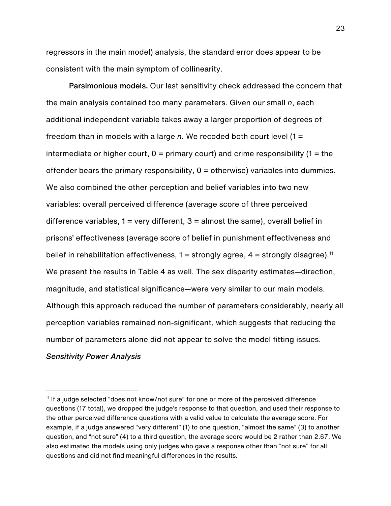regressors in the main model) analysis, the standard error does appear to be consistent with the main symptom of collinearity.

Parsimonious models. Our last sensitivity check addressed the concern that the main analysis contained too many parameters. Given our small *n*, each additional independent variable takes away a larger proportion of degrees of freedom than in models with a large *n*. We recoded both court level (1 = intermediate or higher court,  $0 =$  primary court) and crime responsibility (1 = the offender bears the primary responsibility,  $0 =$  otherwise) variables into dummies. We also combined the other perception and belief variables into two new variables: overall perceived difference (average score of three perceived difference variables,  $1 = \text{very different}, 3 = \text{almost the same}, \text{overall belief in}$ prisons' effectiveness (average score of belief in punishment effectiveness and belief in rehabilitation effectiveness,  $1 =$  strongly agree,  $4 =$  strongly disagree).<sup>11</sup> We present the results in Table 4 as well. The sex disparity estimates—direction, magnitude, and statistical significance—were very similar to our main models. Although this approach reduced the number of parameters considerably, nearly all perception variables remained non-significant, which suggests that reducing the number of parameters alone did not appear to solve the model fitting issues.

*Sensitivity Power Analysis*

<sup>11</sup> If a judge selected "does not know/not sure" for one or more of the perceived difference questions (17 total), we dropped the judge's response to that question, and used their response to the other perceived difference questions with a valid value to calculate the average score. For example, if a judge answered "very different" (1) to one question, "almost the same" (3) to another question, and "not sure" (4) to a third question, the average score would be 2 rather than 2.67. We also estimated the models using only judges who gave a response other than "not sure" for all questions and did not find meaningful differences in the results.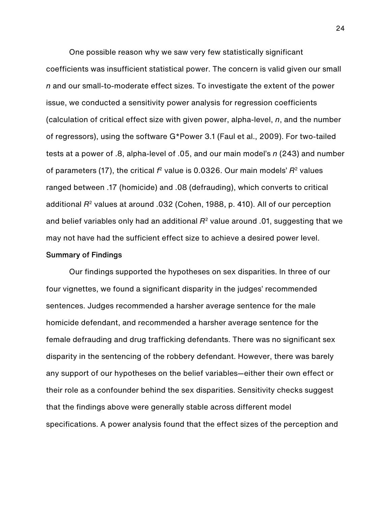One possible reason why we saw very few statistically significant coefficients was insufficient statistical power. The concern is valid given our small *n* and our small-to-moderate effect sizes. To investigate the extent of the power issue, we conducted a sensitivity power analysis for regression coefficients (calculation of critical effect size with given power, alpha-level, *n*, and the number of regressors), using the software G\*Power 3.1 (Faul et al., 2009). For two-tailed tests at a power of .8, alpha-level of .05, and our main model's *n* (243) and number of parameters (17), the critical *f*<sup>2</sup> value is 0.0326. Our main models' *R*<sup>2</sup> values ranged between .17 (homicide) and .08 (defrauding), which converts to critical additional *R*<sup>2</sup> values at around .032 (Cohen, 1988, p. 410). All of our perception and belief variables only had an additional *R*<sup>2</sup> value around .01, suggesting that we may not have had the sufficient effect size to achieve a desired power level.

#### Summary of Findings

Our findings supported the hypotheses on sex disparities. In three of our four vignettes, we found a significant disparity in the judges' recommended sentences. Judges recommended a harsher average sentence for the male homicide defendant, and recommended a harsher average sentence for the female defrauding and drug trafficking defendants. There was no significant sex disparity in the sentencing of the robbery defendant. However, there was barely any support of our hypotheses on the belief variables—either their own effect or their role as a confounder behind the sex disparities. Sensitivity checks suggest that the findings above were generally stable across different model specifications. A power analysis found that the effect sizes of the perception and

24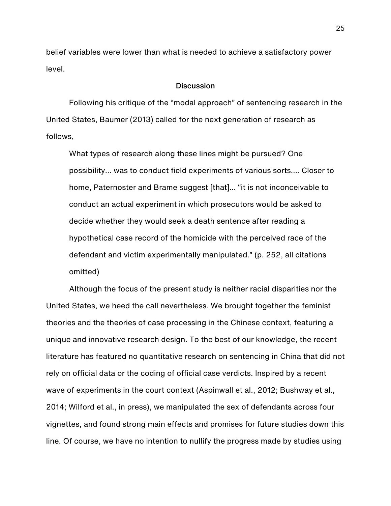belief variables were lower than what is needed to achieve a satisfactory power level.

#### **Discussion**

Following his critique of the "modal approach" of sentencing research in the United States, Baumer (2013) called for the next generation of research as follows,

What types of research along these lines might be pursued? One possibility… was to conduct field experiments of various sorts…. Closer to home, Paternoster and Brame suggest [that]… "it is not inconceivable to conduct an actual experiment in which prosecutors would be asked to decide whether they would seek a death sentence after reading a hypothetical case record of the homicide with the perceived race of the defendant and victim experimentally manipulated." (p. 252, all citations omitted)

Although the focus of the present study is neither racial disparities nor the United States, we heed the call nevertheless. We brought together the feminist theories and the theories of case processing in the Chinese context, featuring a unique and innovative research design. To the best of our knowledge, the recent literature has featured no quantitative research on sentencing in China that did not rely on official data or the coding of official case verdicts. Inspired by a recent wave of experiments in the court context (Aspinwall et al., 2012; Bushway et al., 2014; Wilford et al., in press), we manipulated the sex of defendants across four vignettes, and found strong main effects and promises for future studies down this line. Of course, we have no intention to nullify the progress made by studies using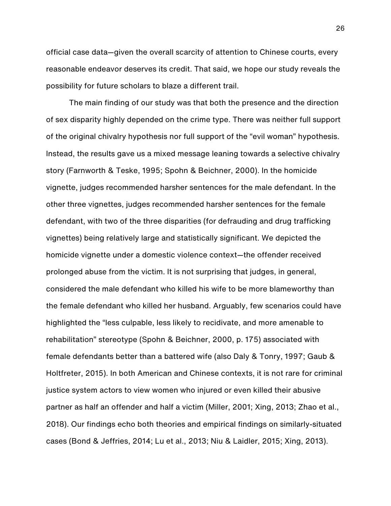official case data—given the overall scarcity of attention to Chinese courts, every reasonable endeavor deserves its credit. That said, we hope our study reveals the possibility for future scholars to blaze a different trail.

The main finding of our study was that both the presence and the direction of sex disparity highly depended on the crime type. There was neither full support of the original chivalry hypothesis nor full support of the "evil woman" hypothesis. Instead, the results gave us a mixed message leaning towards a selective chivalry story (Farnworth & Teske, 1995; Spohn & Beichner, 2000). In the homicide vignette, judges recommended harsher sentences for the male defendant. In the other three vignettes, judges recommended harsher sentences for the female defendant, with two of the three disparities (for defrauding and drug trafficking vignettes) being relatively large and statistically significant. We depicted the homicide vignette under a domestic violence context—the offender received prolonged abuse from the victim. It is not surprising that judges, in general, considered the male defendant who killed his wife to be more blameworthy than the female defendant who killed her husband. Arguably, few scenarios could have highlighted the "less culpable, less likely to recidivate, and more amenable to rehabilitation" stereotype (Spohn & Beichner, 2000, p. 175) associated with female defendants better than a battered wife (also Daly & Tonry, 1997; Gaub & Holtfreter, 2015). In both American and Chinese contexts, it is not rare for criminal justice system actors to view women who injured or even killed their abusive partner as half an offender and half a victim (Miller, 2001; Xing, 2013; Zhao et al., 2018). Our findings echo both theories and empirical findings on similarly-situated cases (Bond & Jeffries, 2014; Lu et al., 2013; Niu & Laidler, 2015; Xing, 2013).

26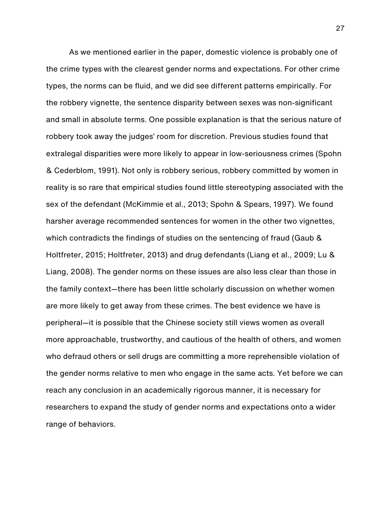As we mentioned earlier in the paper, domestic violence is probably one of the crime types with the clearest gender norms and expectations. For other crime types, the norms can be fluid, and we did see different patterns empirically. For the robbery vignette, the sentence disparity between sexes was non-significant and small in absolute terms. One possible explanation is that the serious nature of robbery took away the judges' room for discretion. Previous studies found that extralegal disparities were more likely to appear in low-seriousness crimes (Spohn & Cederblom, 1991). Not only is robbery serious, robbery committed by women in reality is so rare that empirical studies found little stereotyping associated with the sex of the defendant (McKimmie et al., 2013; Spohn & Spears, 1997). We found harsher average recommended sentences for women in the other two vignettes, which contradicts the findings of studies on the sentencing of fraud (Gaub & Holtfreter, 2015; Holtfreter, 2013) and drug defendants (Liang et al., 2009; Lu & Liang, 2008). The gender norms on these issues are also less clear than those in the family context—there has been little scholarly discussion on whether women are more likely to get away from these crimes. The best evidence we have is peripheral—it is possible that the Chinese society still views women as overall more approachable, trustworthy, and cautious of the health of others, and women who defraud others or sell drugs are committing a more reprehensible violation of the gender norms relative to men who engage in the same acts. Yet before we can reach any conclusion in an academically rigorous manner, it is necessary for researchers to expand the study of gender norms and expectations onto a wider range of behaviors.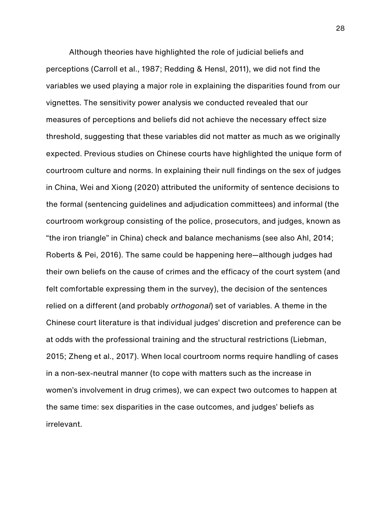Although theories have highlighted the role of judicial beliefs and perceptions (Carroll et al., 1987; Redding & Hensl, 2011), we did not find the variables we used playing a major role in explaining the disparities found from our vignettes. The sensitivity power analysis we conducted revealed that our measures of perceptions and beliefs did not achieve the necessary effect size threshold, suggesting that these variables did not matter as much as we originally expected. Previous studies on Chinese courts have highlighted the unique form of courtroom culture and norms. In explaining their null findings on the sex of judges in China, Wei and Xiong (2020) attributed the uniformity of sentence decisions to the formal (sentencing guidelines and adjudication committees) and informal (the courtroom workgroup consisting of the police, prosecutors, and judges, known as "the iron triangle" in China) check and balance mechanisms (see also Ahl, 2014; Roberts & Pei, 2016). The same could be happening here—although judges had their own beliefs on the cause of crimes and the efficacy of the court system (and felt comfortable expressing them in the survey), the decision of the sentences relied on a different (and probably *orthogonal*) set of variables. A theme in the Chinese court literature is that individual judges' discretion and preference can be at odds with the professional training and the structural restrictions (Liebman, 2015; Zheng et al., 2017). When local courtroom norms require handling of cases in a non-sex-neutral manner (to cope with matters such as the increase in women's involvement in drug crimes), we can expect two outcomes to happen at the same time: sex disparities in the case outcomes, and judges' beliefs as irrelevant.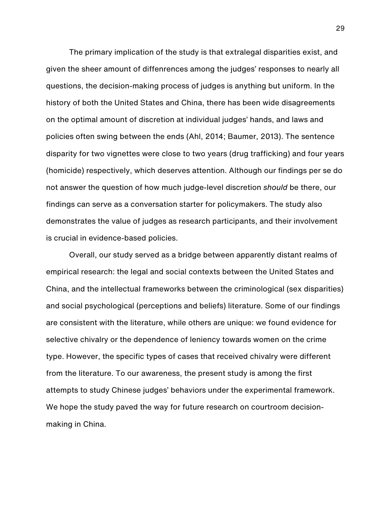The primary implication of the study is that extralegal disparities exist, and given the sheer amount of diffenrences among the judges' responses to nearly all questions, the decision-making process of judges is anything but uniform. In the history of both the United States and China, there has been wide disagreements on the optimal amount of discretion at individual judges' hands, and laws and policies often swing between the ends (Ahl, 2014; Baumer, 2013). The sentence disparity for two vignettes were close to two years (drug trafficking) and four years (homicide) respectively, which deserves attention. Although our findings per se do not answer the question of how much judge-level discretion *should* be there, our findings can serve as a conversation starter for policymakers. The study also demonstrates the value of judges as research participants, and their involvement is crucial in evidence-based policies.

Overall, our study served as a bridge between apparently distant realms of empirical research: the legal and social contexts between the United States and China, and the intellectual frameworks between the criminological (sex disparities) and social psychological (perceptions and beliefs) literature. Some of our findings are consistent with the literature, while others are unique: we found evidence for selective chivalry or the dependence of leniency towards women on the crime type. However, the specific types of cases that received chivalry were different from the literature. To our awareness, the present study is among the first attempts to study Chinese judges' behaviors under the experimental framework. We hope the study paved the way for future research on courtroom decisionmaking in China.

29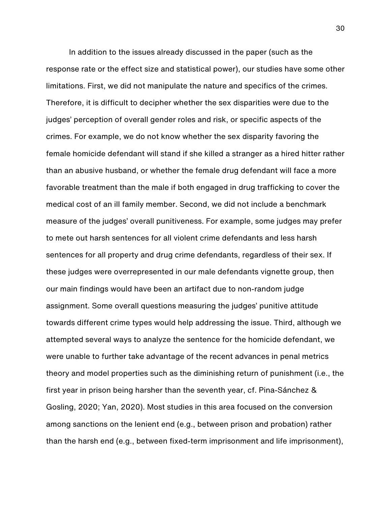In addition to the issues already discussed in the paper (such as the response rate or the effect size and statistical power), our studies have some other limitations. First, we did not manipulate the nature and specifics of the crimes. Therefore, it is difficult to decipher whether the sex disparities were due to the judges' perception of overall gender roles and risk, or specific aspects of the crimes. For example, we do not know whether the sex disparity favoring the female homicide defendant will stand if she killed a stranger as a hired hitter rather than an abusive husband, or whether the female drug defendant will face a more favorable treatment than the male if both engaged in drug trafficking to cover the medical cost of an ill family member. Second, we did not include a benchmark measure of the judges' overall punitiveness. For example, some judges may prefer to mete out harsh sentences for all violent crime defendants and less harsh sentences for all property and drug crime defendants, regardless of their sex. If these judges were overrepresented in our male defendants vignette group, then our main findings would have been an artifact due to non-random judge assignment. Some overall questions measuring the judges' punitive attitude towards different crime types would help addressing the issue. Third, although we attempted several ways to analyze the sentence for the homicide defendant, we were unable to further take advantage of the recent advances in penal metrics theory and model properties such as the diminishing return of punishment (i.e., the first year in prison being harsher than the seventh year, cf. Pina-Sánchez & Gosling, 2020; Yan, 2020). Most studies in this area focused on the conversion among sanctions on the lenient end (e.g., between prison and probation) rather than the harsh end (e.g., between fixed-term imprisonment and life imprisonment),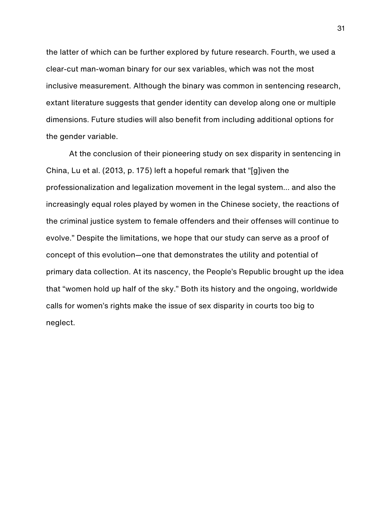the latter of which can be further explored by future research. Fourth, we used a clear-cut man-woman binary for our sex variables, which was not the most inclusive measurement. Although the binary was common in sentencing research, extant literature suggests that gender identity can develop along one or multiple dimensions. Future studies will also benefit from including additional options for the gender variable.

At the conclusion of their pioneering study on sex disparity in sentencing in China, Lu et al. (2013, p. 175) left a hopeful remark that "[g]iven the professionalization and legalization movement in the legal system… and also the increasingly equal roles played by women in the Chinese society, the reactions of the criminal justice system to female offenders and their offenses will continue to evolve." Despite the limitations, we hope that our study can serve as a proof of concept of this evolution—one that demonstrates the utility and potential of primary data collection. At its nascency, the People's Republic brought up the idea that "women hold up half of the sky." Both its history and the ongoing, worldwide calls for women's rights make the issue of sex disparity in courts too big to neglect.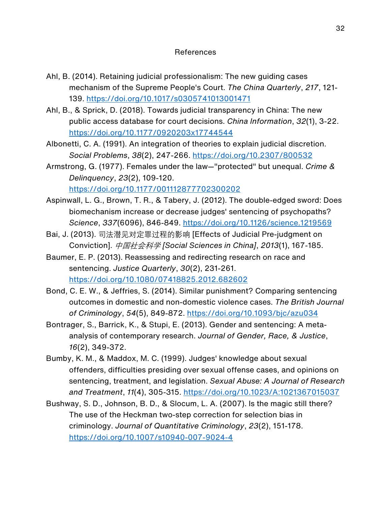## References

- Ahl, B. (2014). Retaining judicial professionalism: The new guiding cases mechanism of the Supreme People's Court. *The China Quarterly*, *217*, 121- 139. https://doi.org/10.1017/s0305741013001471
- Ahl, B., & Sprick, D. (2018). Towards judicial transparency in China: The new public access database for court decisions. *China Information*, *32*(1), 3-22. https://doi.org/10.1177/0920203x17744544
- Albonetti, C. A. (1991). An integration of theories to explain judicial discretion. *Social Problems*, *38*(2), 247-266. https://doi.org/10.2307/800532
- Armstrong, G. (1977). Females under the law—"protected" but unequal. *Crime & Delinquency*, *23*(2), 109-120. https://doi.org/10.1177/001112877702300202
- Aspinwall, L. G., Brown, T. R., & Tabery, J. (2012). The double-edged sword: Does biomechanism increase or decrease judges' sentencing of psychopaths? *Science*, *337*(6096), 846-849. https://doi.org/10.1126/science.1219569
- Bai, J. (2013). 司法潜见对定罪过程的影响 [Effects of Judicial Pre-judgment on Conviction]. 中国社会科学 *[Social Sciences in China]*, *2013*(1), 167-185.
- Baumer, E. P. (2013). Reassessing and redirecting research on race and sentencing. *Justice Quarterly*, *30*(2), 231-261. https://doi.org/10.1080/07418825.2012.682602
- Bond, C. E. W., & Jeffries, S. (2014). Similar punishment? Comparing sentencing outcomes in domestic and non-domestic violence cases. *The British Journal of Criminology*, *54*(5), 849-872. https://doi.org/10.1093/bjc/azu034
- Bontrager, S., Barrick, K., & Stupi, E. (2013). Gender and sentencing: A metaanalysis of contemporary research. *Journal of Gender, Race, & Justice*, *16*(2), 349-372.
- Bumby, K. M., & Maddox, M. C. (1999). Judges' knowledge about sexual offenders, difficulties presiding over sexual offense cases, and opinions on sentencing, treatment, and legislation. *Sexual Abuse: A Journal of Research and Treatment*, *11*(4), 305-315. https://doi.org/10.1023/A:1021367015037
- Bushway, S. D., Johnson, B. D., & Slocum, L. A. (2007). Is the magic still there? The use of the Heckman two-step correction for selection bias in criminology. *Journal of Quantitative Criminology*, *23*(2), 151-178. https://doi.org/10.1007/s10940-007-9024-4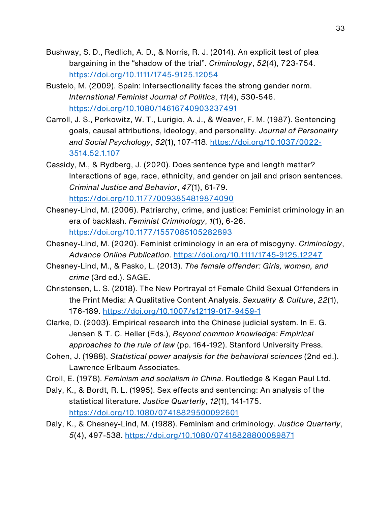- Bushway, S. D., Redlich, A. D., & Norris, R. J. (2014). An explicit test of plea bargaining in the "shadow of the trial". *Criminology*, *52*(4), 723-754. https://doi.org/10.1111/1745-9125.12054
- Bustelo, M. (2009). Spain: Intersectionality faces the strong gender norm. *International Feminist Journal of Politics*, *11*(4), 530-546. https://doi.org/10.1080/14616740903237491
- Carroll, J. S., Perkowitz, W. T., Lurigio, A. J., & Weaver, F. M. (1987). Sentencing goals, causal attributions, ideology, and personality. *Journal of Personality and Social Psychology*, *52*(1), 107-118. https://doi.org/10.1037/0022- 3514.52.1.107
- Cassidy, M., & Rydberg, J. (2020). Does sentence type and length matter? Interactions of age, race, ethnicity, and gender on jail and prison sentences. *Criminal Justice and Behavior*, *47*(1), 61-79. https://doi.org/10.1177/0093854819874090
- Chesney-Lind, M. (2006). Patriarchy, crime, and justice: Feminist criminology in an era of backlash. *Feminist Criminology*, *1*(1), 6-26. https://doi.org/10.1177/1557085105282893
- Chesney-Lind, M. (2020). Feminist criminology in an era of misogyny. *Criminology*, *Advance Online Publication*. https://doi.org/10.1111/1745-9125.12247
- Chesney-Lind, M., & Pasko, L. (2013). *The female offender: Girls, women, and crime* (3rd ed.). SAGE.
- Christensen, L. S. (2018). The New Portrayal of Female Child Sexual Offenders in the Print Media: A Qualitative Content Analysis. *Sexuality & Culture*, *22*(1), 176-189. https://doi.org/10.1007/s12119-017-9459-1
- Clarke, D. (2003). Empirical research into the Chinese judicial system. In E. G. Jensen & T. C. Heller (Eds.), *Beyond common knowledge: Empirical approaches to the rule of law* (pp. 164-192). Stanford University Press.
- Cohen, J. (1988). *Statistical power analysis for the behavioral sciences* (2nd ed.). Lawrence Erlbaum Associates.
- Croll, E. (1978). *Feminism and socialism in China*. Routledge & Kegan Paul Ltd.
- Daly, K., & Bordt, R. L. (1995). Sex effects and sentencing: An analysis of the statistical literature. *Justice Quarterly*, *12*(1), 141-175. https://doi.org/10.1080/07418829500092601
- Daly, K., & Chesney-Lind, M. (1988). Feminism and criminology. *Justice Quarterly*, *5*(4), 497-538. https://doi.org/10.1080/07418828800089871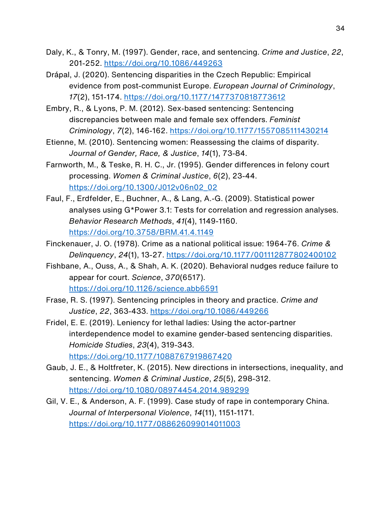- Daly, K., & Tonry, M. (1997). Gender, race, and sentencing. *Crime and Justice*, *22*, 201-252. https://doi.org/10.1086/449263
- Drápal, J. (2020). Sentencing disparities in the Czech Republic: Empirical evidence from post-communist Europe. *European Journal of Criminology*, *17*(2), 151-174. https://doi.org/10.1177/1477370818773612
- Embry, R., & Lyons, P. M. (2012). Sex-based sentencing: Sentencing discrepancies between male and female sex offenders. *Feminist Criminology*, *7*(2), 146-162. https://doi.org/10.1177/1557085111430214
- Etienne, M. (2010). Sentencing women: Reassessing the claims of disparity. *Journal of Gender, Race, & Justice*, *14*(1), 73-84.
- Farnworth, M., & Teske, R. H. C., Jr. (1995). Gender differences in felony court processing. *Women & Criminal Justice*, *6*(2), 23-44. https://doi.org/10.1300/J012v06n02\_02
- Faul, F., Erdfelder, E., Buchner, A., & Lang, A.-G. (2009). Statistical power analyses using G\*Power 3.1: Tests for correlation and regression analyses. *Behavior Research Methods*, *41*(4), 1149-1160. https://doi.org/10.3758/BRM.41.4.1149
- Finckenauer, J. O. (1978). Crime as a national political issue: 1964-76. *Crime & Delinquency*, *24*(1), 13-27. https://doi.org/10.1177/001112877802400102
- Fishbane, A., Ouss, A., & Shah, A. K. (2020). Behavioral nudges reduce failure to appear for court. *Science*, *370*(6517). https://doi.org/10.1126/science.abb6591
- Frase, R. S. (1997). Sentencing principles in theory and practice. *Crime and Justice*, *22*, 363-433. https://doi.org/10.1086/449266
- Fridel, E. E. (2019). Leniency for lethal ladies: Using the actor-partner interdependence model to examine gender-based sentencing disparities. *Homicide Studies*, *23*(4), 319-343. https://doi.org/10.1177/1088767919867420
- Gaub, J. E., & Holtfreter, K. (2015). New directions in intersections, inequality, and sentencing. *Women & Criminal Justice*, *25*(5), 298-312. https://doi.org/10.1080/08974454.2014.989299
- Gil, V. E., & Anderson, A. F. (1999). Case study of rape in contemporary China. *Journal of Interpersonal Violence*, *14*(11), 1151-1171. https://doi.org/10.1177/088626099014011003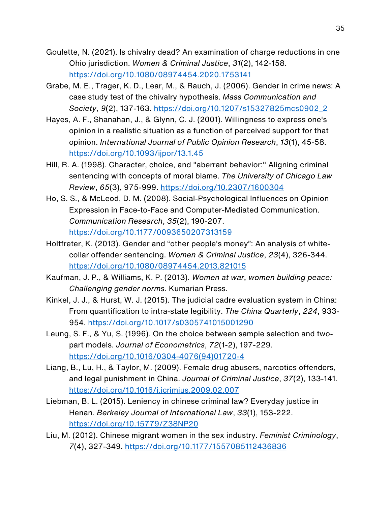- Goulette, N. (2021). Is chivalry dead? An examination of charge reductions in one Ohio jurisdiction. *Women & Criminal Justice*, *31*(2), 142-158. https://doi.org/10.1080/08974454.2020.1753141
- Grabe, M. E., Trager, K. D., Lear, M., & Rauch, J. (2006). Gender in crime news: A case study test of the chivalry hypothesis. *Mass Communication and Society*, *9*(2), 137-163. https://doi.org/10.1207/s15327825mcs0902\_2
- Hayes, A. F., Shanahan, J., & Glynn, C. J. (2001). Willingness to express one's opinion in a realistic situation as a function of perceived support for that opinion. *International Journal of Public Opinion Research*, *13*(1), 45-58. https://doi.org/10.1093/ijpor/13.1.45
- Hill, R. A. (1998). Character, choice, and "aberrant behavior:" Aligning criminal sentencing with concepts of moral blame. *The University of Chicago Law Review*, *65*(3), 975-999. https://doi.org/10.2307/1600304
- Ho, S. S., & McLeod, D. M. (2008). Social-Psychological Influences on Opinion Expression in Face-to-Face and Computer-Mediated Communication. *Communication Research*, *35*(2), 190-207. https://doi.org/10.1177/0093650207313159
- Holtfreter, K. (2013). Gender and "other people's money": An analysis of whitecollar offender sentencing. *Women & Criminal Justice*, *23*(4), 326-344. https://doi.org/10.1080/08974454.2013.821015
- Kaufman, J. P., & Williams, K. P. (2013). *Women at war, women building peace: Challenging gender norms*. Kumarian Press.
- Kinkel, J. J., & Hurst, W. J. (2015). The judicial cadre evaluation system in China: From quantification to intra-state legibility. *The China Quarterly*, *224*, 933- 954. https://doi.org/10.1017/s0305741015001290
- Leung, S. F., & Yu, S. (1996). On the choice between sample selection and twopart models. *Journal of Econometrics*, *72*(1-2), 197-229. https://doi.org/10.1016/0304-4076(94)01720-4
- Liang, B., Lu, H., & Taylor, M. (2009). Female drug abusers, narcotics offenders, and legal punishment in China. *Journal of Criminal Justice*, *37*(2), 133-141. https://doi.org/10.1016/j.jcrimjus.2009.02.007
- Liebman, B. L. (2015). Leniency in chinese criminal law? Everyday justice in Henan. *Berkeley Journal of International Law*, *33*(1), 153-222. https://doi.org/10.15779/Z38NP20
- Liu, M. (2012). Chinese migrant women in the sex industry. *Feminist Criminology*, *7*(4), 327-349. https://doi.org/10.1177/1557085112436836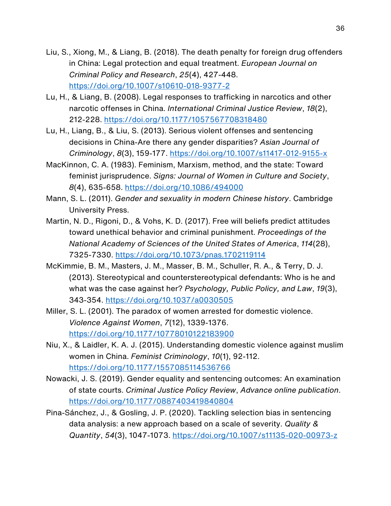- Liu, S., Xiong, M., & Liang, B. (2018). The death penalty for foreign drug offenders in China: Legal protection and equal treatment. *European Journal on Criminal Policy and Research*, *25*(4), 427-448. https://doi.org/10.1007/s10610-018-9377-2
- Lu, H., & Liang, B. (2008). Legal responses to trafficking in narcotics and other narcotic offenses in China. *International Criminal Justice Review*, *18*(2), 212-228. https://doi.org/10.1177/1057567708318480
- Lu, H., Liang, B., & Liu, S. (2013). Serious violent offenses and sentencing decisions in China-Are there any gender disparities? *Asian Journal of Criminology*, *8*(3), 159-177. https://doi.org/10.1007/s11417-012-9155-x
- MacKinnon, C. A. (1983). Feminism, Marxism, method, and the state: Toward feminist jurisprudence. *Signs: Journal of Women in Culture and Society*, *8*(4), 635-658. https://doi.org/10.1086/494000
- Mann, S. L. (2011). *Gender and sexuality in modern Chinese history*. Cambridge University Press.
- Martin, N. D., Rigoni, D., & Vohs, K. D. (2017). Free will beliefs predict attitudes toward unethical behavior and criminal punishment. *Proceedings of the National Academy of Sciences of the United States of America*, *114*(28), 7325-7330. https://doi.org/10.1073/pnas.1702119114
- McKimmie, B. M., Masters, J. M., Masser, B. M., Schuller, R. A., & Terry, D. J. (2013). Stereotypical and counterstereotypical defendants: Who is he and what was the case against her? *Psychology, Public Policy, and Law*, *19*(3), 343-354. https://doi.org/10.1037/a0030505
- Miller, S. L. (2001). The paradox of women arrested for domestic violence. *Violence Against Women*, *7*(12), 1339-1376. https://doi.org/10.1177/10778010122183900
- Niu, X., & Laidler, K. A. J. (2015). Understanding domestic violence against muslim women in China. *Feminist Criminology*, *10*(1), 92-112. https://doi.org/10.1177/1557085114536766
- Nowacki, J. S. (2019). Gender equality and sentencing outcomes: An examination of state courts. *Criminal Justice Policy Review*, *Advance online publication*. https://doi.org/10.1177/0887403419840804
- Pina-Sánchez, J., & Gosling, J. P. (2020). Tackling selection bias in sentencing data analysis: a new approach based on a scale of severity. *Quality & Quantity*, *54*(3), 1047-1073. https://doi.org/10.1007/s11135-020-00973-z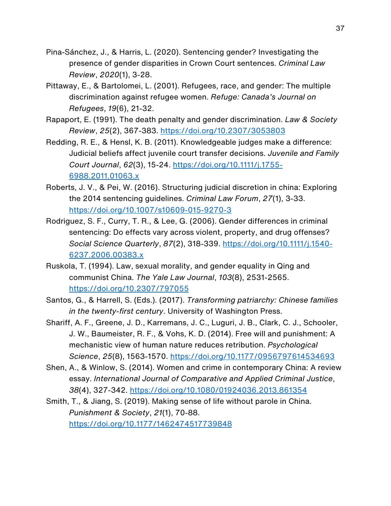- Pina-Sánchez, J., & Harris, L. (2020). Sentencing gender? Investigating the presence of gender disparities in Crown Court sentences. *Criminal Law Review*, *2020*(1), 3-28.
- Pittaway, E., & Bartolomei, L. (2001). Refugees, race, and gender: The multiple discrimination against refugee women. *Refuge: Canada's Journal on Refugees*, *19*(6), 21-32.
- Rapaport, E. (1991). The death penalty and gender discrimination. *Law & Society Review*, *25*(2), 367-383. https://doi.org/10.2307/3053803
- Redding, R. E., & Hensl, K. B. (2011). Knowledgeable judges make a difference: Judicial beliefs affect juvenile court transfer decisions. *Juvenile and Family Court Journal*, *62*(3), 15-24. https://doi.org/10.1111/j.1755- 6988.2011.01063.x
- Roberts, J. V., & Pei, W. (2016). Structuring judicial discretion in china: Exploring the 2014 sentencing guidelines. *Criminal Law Forum*, *27*(1), 3-33. https://doi.org/10.1007/s10609-015-9270-3
- Rodriguez, S. F., Curry, T. R., & Lee, G. (2006). Gender differences in criminal sentencing: Do effects vary across violent, property, and drug offenses? *Social Science Quarterly*, *87*(2), 318-339. https://doi.org/10.1111/j.1540- 6237.2006.00383.x
- Ruskola, T. (1994). Law, sexual morality, and gender equality in Qing and communist China. *The Yale Law Journal*, *103*(8), 2531-2565. https://doi.org/10.2307/797055
- Santos, G., & Harrell, S. (Eds.). (2017). *Transforming patriarchy: Chinese families in the twenty-first century*. University of Washington Press.
- Shariff, A. F., Greene, J. D., Karremans, J. C., Luguri, J. B., Clark, C. J., Schooler, J. W., Baumeister, R. F., & Vohs, K. D. (2014). Free will and punishment: A mechanistic view of human nature reduces retribution. *Psychological Science*, *25*(8), 1563-1570. https://doi.org/10.1177/0956797614534693
- Shen, A., & Winlow, S. (2014). Women and crime in contemporary China: A review essay. *International Journal of Comparative and Applied Criminal Justice*, *38*(4), 327-342. https://doi.org/10.1080/01924036.2013.861354
- Smith, T., & Jiang, S. (2019). Making sense of life without parole in China. *Punishment & Society*, *21*(1), 70-88. https://doi.org/10.1177/1462474517739848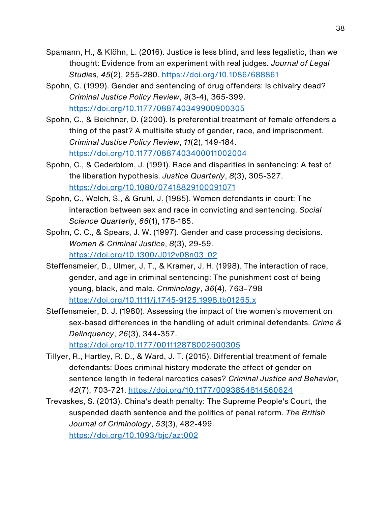- Spamann, H., & Klöhn, L. (2016). Justice is less blind, and less legalistic, than we thought: Evidence from an experiment with real judges. *Journal of Legal Studies*, *45*(2), 255-280. https://doi.org/10.1086/688861
- Spohn, C. (1999). Gender and sentencing of drug offenders: Is chivalry dead? *Criminal Justice Policy Review*, *9*(3-4), 365-399. https://doi.org/10.1177/088740349900900305
- Spohn, C., & Beichner, D. (2000). Is preferential treatment of female offenders a thing of the past? A multisite study of gender, race, and imprisonment. *Criminal Justice Policy Review*, *11*(2), 149-184. https://doi.org/10.1177/0887403400011002004
- Spohn, C., & Cederblom, J. (1991). Race and disparities in sentencing: A test of the liberation hypothesis. *Justice Quarterly*, *8*(3), 305-327. https://doi.org/10.1080/07418829100091071
- Spohn, C., Welch, S., & Gruhl, J. (1985). Women defendants in court: The interaction between sex and race in convicting and sentencing. *Social Science Quarterly*, *66*(1), 178-185.
- Spohn, C. C., & Spears, J. W. (1997). Gender and case processing decisions. *Women & Criminal Justice*, *8*(3), 29-59. https://doi.org/10.1300/J012v08n03\_02
- Steffensmeier, D., Ulmer, J. T., & Kramer, J. H. (1998). The interaction of race, gender, and age in criminal sentencing: The punishment cost of being young, black, and male. *Criminology*, *36*(4), 763–798 https://doi.org/10.1111/j.1745-9125.1998.tb01265.x
- Steffensmeier, D. J. (1980). Assessing the impact of the women's movement on sex-based differences in the handling of adult criminal defendants. *Crime & Delinquency*, *26*(3), 344-357.

https://doi.org/10.1177/001112878002600305

- Tillyer, R., Hartley, R. D., & Ward, J. T. (2015). Differential treatment of female defendants: Does criminal history moderate the effect of gender on sentence length in federal narcotics cases? *Criminal Justice and Behavior*, *42*(7), 703-721. https://doi.org/10.1177/0093854814560624
- Trevaskes, S. (2013). China's death penalty: The Supreme People's Court, the suspended death sentence and the politics of penal reform. *The British Journal of Criminology*, *53*(3), 482-499.

https://doi.org/10.1093/bjc/azt002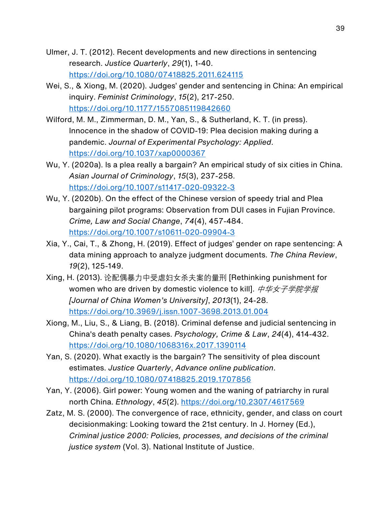- Ulmer, J. T. (2012). Recent developments and new directions in sentencing research. *Justice Quarterly*, *29*(1), 1-40. https://doi.org/10.1080/07418825.2011.624115
- Wei, S., & Xiong, M. (2020). Judges' gender and sentencing in China: An empirical inquiry. *Feminist Criminology*, *15*(2), 217-250. https://doi.org/10.1177/1557085119842660
- Wilford, M. M., Zimmerman, D. M., Yan, S., & Sutherland, K. T. (in press). Innocence in the shadow of COVID-19: Plea decision making during a pandemic. *Journal of Experimental Psychology: Applied*. https://doi.org/10.1037/xap0000367
- Wu, Y. (2020a). Is a plea really a bargain? An empirical study of six cities in China. *Asian Journal of Criminology*, *15*(3), 237-258. https://doi.org/10.1007/s11417-020-09322-3
- Wu, Y. (2020b). On the effect of the Chinese version of speedy trial and Plea bargaining pilot programs: Observation from DUI cases in Fujian Province. *Crime, Law and Social Change*, *74*(4), 457-484. https://doi.org/10.1007/s10611-020-09904-3
- Xia, Y., Cai, T., & Zhong, H. (2019). Effect of judges' gender on rape sentencing: A data mining approach to analyze judgment documents. *The China Review*, *19*(2), 125-149.
- Xing, H. (2013). 论配偶暴力中受虐妇女杀夫案的量刑 [Rethinking punishment for women who are driven by domestic violence to kill]. *中华女子学院学报 [Journal of China Women's University]*, *2013*(1), 24-28. https://doi.org/10.3969/j.issn.1007-3698.2013.01.004
- Xiong, M., Liu, S., & Liang, B. (2018). Criminal defense and judicial sentencing in China's death penalty cases. *Psychology, Crime & Law*, *24*(4), 414-432. https://doi.org/10.1080/1068316x.2017.1390114
- Yan, S. (2020). What exactly is the bargain? The sensitivity of plea discount estimates. *Justice Quarterly*, *Advance online publication*. https://doi.org/10.1080/07418825.2019.1707856
- Yan, Y. (2006). Girl power: Young women and the waning of patriarchy in rural north China. *Ethnology*, *45*(2). https://doi.org/10.2307/4617569
- Zatz, M. S. (2000). The convergence of race, ethnicity, gender, and class on court decisionmaking: Looking toward the 21st century. In J. Horney (Ed.), *Criminal justice 2000: Policies, processes, and decisions of the criminal justice system* (Vol. 3). National Institute of Justice.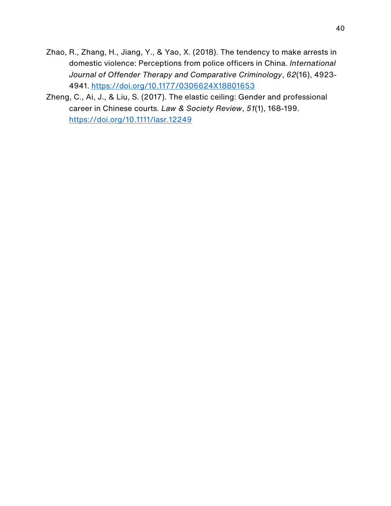- Zhao, R., Zhang, H., Jiang, Y., & Yao, X. (2018). The tendency to make arrests in domestic violence: Perceptions from police officers in China. *International Journal of Offender Therapy and Comparative Criminology*, *62*(16), 4923- 4941. https://doi.org/10.1177/0306624X18801653
- Zheng, C., Ai, J., & Liu, S. (2017). The elastic ceiling: Gender and professional career in Chinese courts. *Law & Society Review*, *51*(1), 168-199. https://doi.org/10.1111/lasr.12249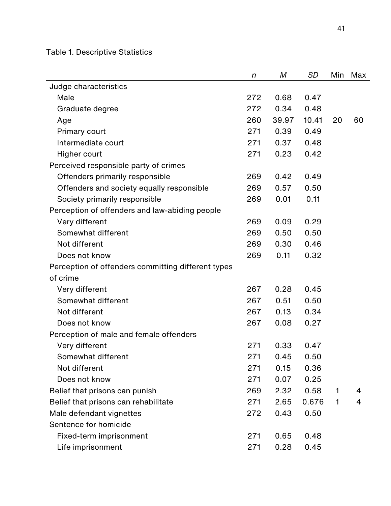Table 1. Descriptive Statistics

|                                                    | $\boldsymbol{n}$ | M     | SD    | Min | Max |
|----------------------------------------------------|------------------|-------|-------|-----|-----|
| Judge characteristics                              |                  |       |       |     |     |
| Male                                               | 272              | 0.68  | 0.47  |     |     |
| Graduate degree                                    | 272              | 0.34  | 0.48  |     |     |
| Age                                                | 260              | 39.97 | 10.41 | 20  | 60  |
| Primary court                                      | 271              | 0.39  | 0.49  |     |     |
| Intermediate court                                 | 271              | 0.37  | 0.48  |     |     |
| Higher court                                       | 271              | 0.23  | 0.42  |     |     |
| Perceived responsible party of crimes              |                  |       |       |     |     |
| Offenders primarily responsible                    | 269              | 0.42  | 0.49  |     |     |
| Offenders and society equally responsible          | 269              | 0.57  | 0.50  |     |     |
| Society primarily responsible                      | 269              | 0.01  | 0.11  |     |     |
| Perception of offenders and law-abiding people     |                  |       |       |     |     |
| Very different                                     | 269              | 0.09  | 0.29  |     |     |
| Somewhat different                                 | 269              | 0.50  | 0.50  |     |     |
| Not different                                      | 269              | 0.30  | 0.46  |     |     |
| Does not know                                      | 269              | 0.11  | 0.32  |     |     |
| Perception of offenders committing different types |                  |       |       |     |     |
| of crime                                           |                  |       |       |     |     |
| Very different                                     | 267              | 0.28  | 0.45  |     |     |
| Somewhat different                                 | 267              | 0.51  | 0.50  |     |     |
| Not different                                      | 267              | 0.13  | 0.34  |     |     |
| Does not know                                      | 267              | 0.08  | 0.27  |     |     |
| Perception of male and female offenders            |                  |       |       |     |     |
| Very different                                     | 271              | 0.33  | 0.47  |     |     |
| Somewhat different                                 | 271              | 0.45  | 0.50  |     |     |
| Not different                                      | 271              | 0.15  | 0.36  |     |     |
| Does not know                                      | 271              | 0.07  | 0.25  |     |     |
| Belief that prisons can punish                     | 269              | 2.32  | 0.58  | 1   | 4   |
| Belief that prisons can rehabilitate               | 271              | 2.65  | 0.676 | 1   | 4   |
| Male defendant vignettes                           | 272              | 0.43  | 0.50  |     |     |
| Sentence for homicide                              |                  |       |       |     |     |
| Fixed-term imprisonment                            | 271              | 0.65  | 0.48  |     |     |
| Life imprisonment                                  | 271              | 0.28  | 0.45  |     |     |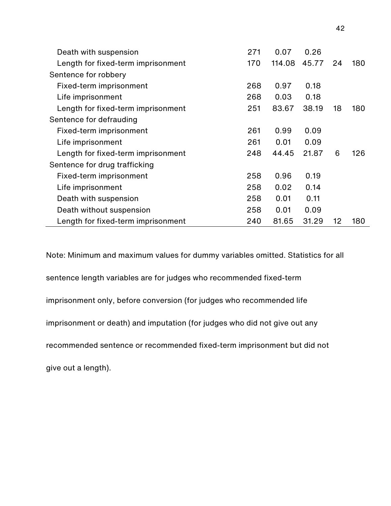| Death with suspension              | 271 | 0.07   | 0.26  |    |     |
|------------------------------------|-----|--------|-------|----|-----|
| Length for fixed-term imprisonment | 170 | 114.08 | 45.77 | 24 | 180 |
| Sentence for robbery               |     |        |       |    |     |
| Fixed-term imprisonment            | 268 | 0.97   | 0.18  |    |     |
| Life imprisonment                  | 268 | 0.03   | 0.18  |    |     |
| Length for fixed-term imprisonment | 251 | 83.67  | 38.19 | 18 | 180 |
| Sentence for defrauding            |     |        |       |    |     |
| Fixed-term imprisonment            | 261 | 0.99   | 0.09  |    |     |
| Life imprisonment                  | 261 | 0.01   | 0.09  |    |     |
| Length for fixed-term imprisonment | 248 | 44.45  | 21.87 | 6  | 126 |
| Sentence for drug trafficking      |     |        |       |    |     |
| Fixed-term imprisonment            | 258 | 0.96   | 0.19  |    |     |
| Life imprisonment                  | 258 | 0.02   | 0.14  |    |     |
| Death with suspension              | 258 | 0.01   | 0.11  |    |     |
| Death without suspension           | 258 | 0.01   | 0.09  |    |     |
| Length for fixed-term imprisonment | 240 | 81.65  | 31.29 | 12 | 180 |

Note: Minimum and maximum values for dummy variables omitted. Statistics for all sentence length variables are for judges who recommended fixed-term imprisonment only, before conversion (for judges who recommended life imprisonment or death) and imputation (for judges who did not give out any recommended sentence or recommended fixed-term imprisonment but did not give out a length).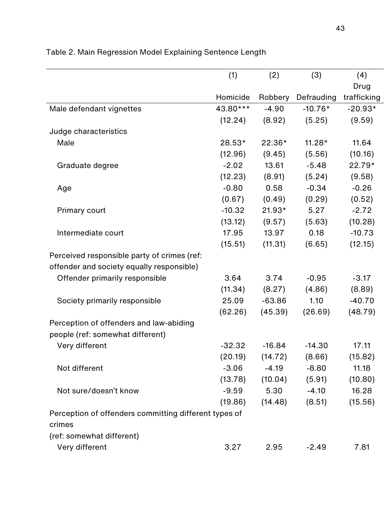|                                                       | (1)      | (2)      | (3)        | (4)         |
|-------------------------------------------------------|----------|----------|------------|-------------|
|                                                       |          |          |            | Drug        |
|                                                       | Homicide | Robbery  | Defrauding | trafficking |
| Male defendant vignettes                              | 43.80*** | $-4.90$  | $-10.76*$  | $-20.93*$   |
|                                                       | (12.24)  | (8.92)   | (5.25)     | (9.59)      |
| Judge characteristics                                 |          |          |            |             |
| Male                                                  | 28.53*   | $22.36*$ | $11.28*$   | 11.64       |
|                                                       | (12.96)  | (9.45)   | (5.56)     | (10.16)     |
| Graduate degree                                       | $-2.02$  | 13.61    | $-5.48$    | 22.79*      |
|                                                       | (12.23)  | (8.91)   | (5.24)     | (9.58)      |
| Age                                                   | $-0.80$  | 0.58     | $-0.34$    | $-0.26$     |
|                                                       | (0.67)   | (0.49)   | (0.29)     | (0.52)      |
| <b>Primary court</b>                                  | $-10.32$ | $21.93*$ | 5.27       | $-2.72$     |
|                                                       | (13.12)  | (9.57)   | (5.63)     | (10.28)     |
| Intermediate court                                    | 17.95    | 13.97    | 0.18       | $-10.73$    |
|                                                       | (15.51)  | (11.31)  | (6.65)     | (12.15)     |
| Perceived responsible party of crimes (ref:           |          |          |            |             |
| offender and society equally responsible)             |          |          |            |             |
| Offender primarily responsible                        | 3.64     | 3.74     | $-0.95$    | $-3.17$     |
|                                                       | (11.34)  | (8.27)   | (4.86)     | (8.89)      |
| Society primarily responsible                         | 25.09    | $-63.86$ | 1.10       | $-40.70$    |
|                                                       | (62.26)  | (45.39)  | (26.69)    | (48.79)     |
| Perception of offenders and law-abiding               |          |          |            |             |
| people (ref: somewhat different)                      |          |          |            |             |
| Very different                                        | $-32.32$ | $-16.84$ | $-14.30$   | 17.11       |
|                                                       | (20.19)  | (14.72)  | (8.66)     | (15.82)     |
| Not different                                         | $-3.06$  | $-4.19$  | $-8.80$    | 11.18       |
|                                                       | (13.78)  | (10.04)  | (5.91)     | (10.80)     |
| Not sure/doesn't know                                 | $-9.59$  | 5.30     | $-4.10$    | 16.28       |
|                                                       | (19.86)  | (14.48)  | (8.51)     | (15.56)     |
| Perception of offenders committing different types of |          |          |            |             |
| crimes                                                |          |          |            |             |
| (ref: somewhat different)                             |          |          |            |             |
| Very different                                        | 3.27     | 2.95     | $-2.49$    | 7.81        |

## Table 2. Main Regression Model Explaining Sentence Length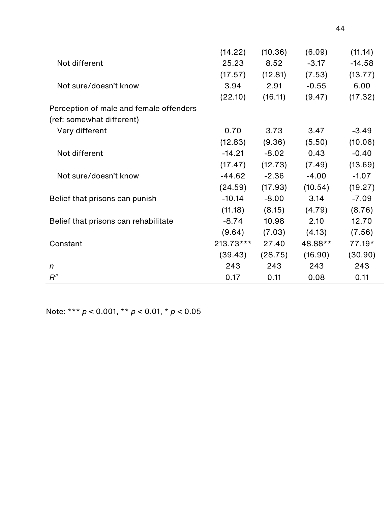|                                         | (14.22)   | (10.36) | (6.09)  | (11.14)  |
|-----------------------------------------|-----------|---------|---------|----------|
| Not different                           | 25.23     | 8.52    | $-3.17$ | $-14.58$ |
|                                         | (17.57)   | (12.81) | (7.53)  | (13.77)  |
| Not sure/doesn't know                   | 3.94      | 2.91    | $-0.55$ | 6.00     |
|                                         | (22.10)   | (16.11) | (9.47)  | (17.32)  |
| Perception of male and female offenders |           |         |         |          |
| (ref: somewhat different)               |           |         |         |          |
| Very different                          | 0.70      | 3.73    | 3.47    | $-3.49$  |
|                                         | (12.83)   | (9.36)  | (5.50)  | (10.06)  |
| Not different                           | $-14.21$  | $-8.02$ | 0.43    | $-0.40$  |
|                                         | (17.47)   | (12.73) | (7.49)  | (13.69)  |
| Not sure/doesn't know                   | $-44.62$  | $-2.36$ | $-4.00$ | $-1.07$  |
|                                         | (24.59)   | (17.93) | (10.54) | (19.27)  |
| Belief that prisons can punish          | $-10.14$  | $-8.00$ | 3.14    | $-7.09$  |
|                                         | (11.18)   | (8.15)  | (4.79)  | (8.76)   |
| Belief that prisons can rehabilitate    | $-8.74$   | 10.98   | 2.10    | 12.70    |
|                                         | (9.64)    | (7.03)  | (4.13)  | (7.56)   |
| Constant                                | 213.73*** | 27.40   | 48.88** | 77.19*   |
|                                         | (39.43)   | (28.75) | (16.90) | (30.90)  |
| $\boldsymbol{n}$                        | 243       | 243     | 243     | 243      |
| $R^2$                                   | 0.17      | 0.11    | 0.08    | 0.11     |

Note: \*\*\* *p* < 0.001, \*\* *p* < 0.01, \* *p* < 0.05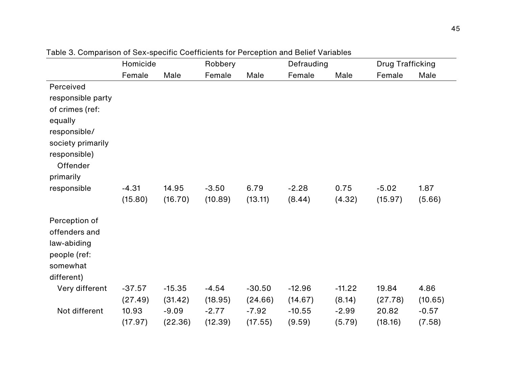|                                                                                         | Homicide |          | Robbery |          | Defrauding |          | <b>Drug Trafficking</b> |         |
|-----------------------------------------------------------------------------------------|----------|----------|---------|----------|------------|----------|-------------------------|---------|
|                                                                                         | Female   | Male     | Female  | Male     | Female     | Male     | Female                  | Male    |
| Perceived                                                                               |          |          |         |          |            |          |                         |         |
| responsible party                                                                       |          |          |         |          |            |          |                         |         |
| of crimes (ref:                                                                         |          |          |         |          |            |          |                         |         |
| equally                                                                                 |          |          |         |          |            |          |                         |         |
| responsible/                                                                            |          |          |         |          |            |          |                         |         |
| society primarily                                                                       |          |          |         |          |            |          |                         |         |
| responsible)                                                                            |          |          |         |          |            |          |                         |         |
| Offender                                                                                |          |          |         |          |            |          |                         |         |
| primarily                                                                               |          |          |         |          |            |          |                         |         |
| responsible                                                                             | $-4.31$  | 14.95    | $-3.50$ | 6.79     | $-2.28$    | 0.75     | $-5.02$                 | 1.87    |
|                                                                                         | (15.80)  | (16.70)  | (10.89) | (13.11)  | (8.44)     | (4.32)   | (15.97)                 | (5.66)  |
| Perception of<br>offenders and<br>law-abiding<br>people (ref:<br>somewhat<br>different) |          |          |         |          |            |          |                         |         |
| Very different                                                                          | $-37.57$ | $-15.35$ | $-4.54$ | $-30.50$ | $-12.96$   | $-11.22$ | 19.84                   | 4.86    |
|                                                                                         | (27.49)  | (31.42)  | (18.95) | (24.66)  | (14.67)    | (8.14)   | (27.78)                 | (10.65) |
| Not different                                                                           | 10.93    | $-9.09$  | $-2.77$ | $-7.92$  | $-10.55$   | $-2.99$  | 20.82                   | $-0.57$ |
|                                                                                         | (17.97)  | (22.36)  | (12.39) | (17.55)  | (9.59)     | (5.79)   | (18.16)                 | (7.58)  |

Table 3. Comparison of Sex-specific Coefficients for Perception and Belief Variables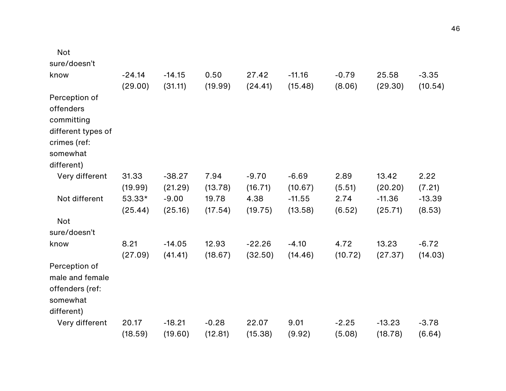| <b>Not</b>                                                                                               |                     |                     |                  |                     |                     |                   |                     |                    |
|----------------------------------------------------------------------------------------------------------|---------------------|---------------------|------------------|---------------------|---------------------|-------------------|---------------------|--------------------|
| sure/doesn't                                                                                             |                     |                     |                  |                     |                     |                   |                     |                    |
| know                                                                                                     | $-24.14$<br>(29.00) | $-14.15$<br>(31.11) | 0.50<br>(19.99)  | 27.42<br>(24.41)    | $-11.16$<br>(15.48) | $-0.79$<br>(8.06) | 25.58<br>(29.30)    | $-3.35$<br>(10.54) |
| Perception of<br>offenders<br>committing<br>different types of<br>crimes (ref:<br>somewhat<br>different) |                     |                     |                  |                     |                     |                   |                     |                    |
| Very different                                                                                           | 31.33<br>(19.99)    | $-38.27$<br>(21.29) | 7.94<br>(13.78)  | $-9.70$<br>(16.71)  | $-6.69$<br>(10.67)  | 2.89<br>(5.51)    | 13.42<br>(20.20)    | 2.22<br>(7.21)     |
| Not different                                                                                            | 53.33*<br>(25.44)   | $-9.00$<br>(25.16)  | 19.78<br>(17.54) | 4.38<br>(19.75)     | $-11.55$<br>(13.58) | 2.74<br>(6.52)    | $-11.36$<br>(25.71) | $-13.39$<br>(8.53) |
| <b>Not</b><br>sure/doesn't                                                                               |                     |                     |                  |                     |                     |                   |                     |                    |
| know                                                                                                     | 8.21<br>(27.09)     | $-14.05$<br>(41.41) | 12.93<br>(18.67) | $-22.26$<br>(32.50) | $-4.10$<br>(14.46)  | 4.72<br>(10.72)   | 13.23<br>(27.37)    | $-6.72$<br>(14.03) |
| Perception of<br>male and female<br>offenders (ref:<br>somewhat<br>different)                            |                     |                     |                  |                     |                     |                   |                     |                    |
| Very different                                                                                           | 20.17               | $-18.21$            | $-0.28$          | 22.07               | 9.01                | $-2.25$           | $-13.23$            | $-3.78$            |
|                                                                                                          | (18.59)             | (19.60)             | (12.81)          | (15.38)             | (9.92)              | (5.08)            | (18.78)             | (6.64)             |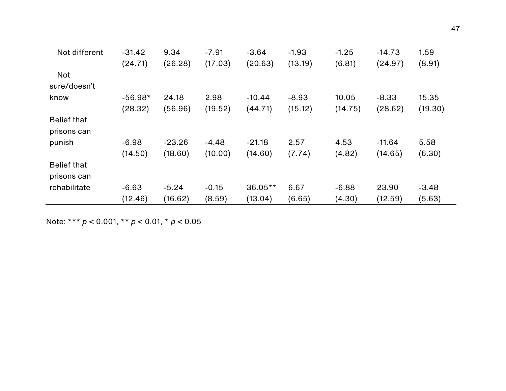| Not different      | $-31.42$  | 9.34     | $-7.91$ | $-3.64$   | $-1.93$ | $-1.25$ | $-14.73$ | 1.59    |
|--------------------|-----------|----------|---------|-----------|---------|---------|----------|---------|
|                    | (24.71)   | (26.28)  | (17.03) | (20.63)   | (13.19) | (6.81)  | (24.97)  | (8.91)  |
| <b>Not</b>         |           |          |         |           |         |         |          |         |
| sure/doesn't       |           |          |         |           |         |         |          |         |
| know               | $-56.98*$ | 24.18    | 2.98    | $-10.44$  | $-8.93$ | 10.05   | $-8.33$  | 15.35   |
|                    | (28.32)   | (56.96)  | (19.52) | (44.71)   | (15.12) | (14.75) | (28.62)  | (19.30) |
| <b>Belief that</b> |           |          |         |           |         |         |          |         |
| prisons can        |           |          |         |           |         |         |          |         |
| punish             | $-6.98$   | $-23.26$ | $-4.48$ | $-21.18$  | 2.57    | 4.53    | $-11.64$ | 5.58    |
|                    | (14.50)   | (18.60)  | (10.00) | (14.60)   | (7.74)  | (4.82)  | (14.65)  | (6.30)  |
| <b>Belief that</b> |           |          |         |           |         |         |          |         |
| prisons can        |           |          |         |           |         |         |          |         |
| rehabilitate       | $-6.63$   | $-5.24$  | $-0.15$ | $36.05**$ | 6.67    | $-6.88$ | 23.90    | $-3.48$ |
|                    | (12.46)   | (16.62)  | (8.59)  | (13.04)   | (6.65)  | (4.30)  | (12.59)  | (5.63)  |

Note: \*\*\* *p* < 0.001, \*\* *p* < 0.01, \* *p* < 0.05